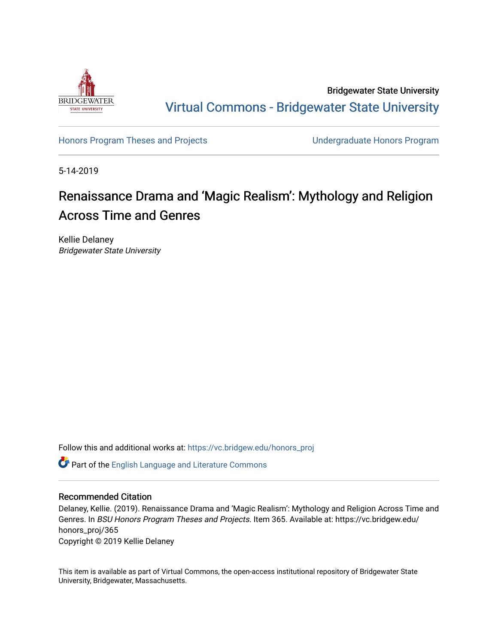

Bridgewater State University [Virtual Commons - Bridgewater State University](https://vc.bridgew.edu/) 

[Honors Program Theses and Projects](https://vc.bridgew.edu/honors_proj) [Undergraduate Honors Program](https://vc.bridgew.edu/honors) 

5-14-2019

## Renaissance Drama and 'Magic Realism': Mythology and Religion Across Time and Genres

Kellie Delaney Bridgewater State University

Follow this and additional works at: [https://vc.bridgew.edu/honors\\_proj](https://vc.bridgew.edu/honors_proj?utm_source=vc.bridgew.edu%2Fhonors_proj%2F365&utm_medium=PDF&utm_campaign=PDFCoverPages)

Part of the [English Language and Literature Commons](http://network.bepress.com/hgg/discipline/455?utm_source=vc.bridgew.edu%2Fhonors_proj%2F365&utm_medium=PDF&utm_campaign=PDFCoverPages)

## Recommended Citation

Delaney, Kellie. (2019). Renaissance Drama and 'Magic Realism': Mythology and Religion Across Time and Genres. In BSU Honors Program Theses and Projects. Item 365. Available at: https://vc.bridgew.edu/ honors\_proj/365 Copyright © 2019 Kellie Delaney

This item is available as part of Virtual Commons, the open-access institutional repository of Bridgewater State University, Bridgewater, Massachusetts.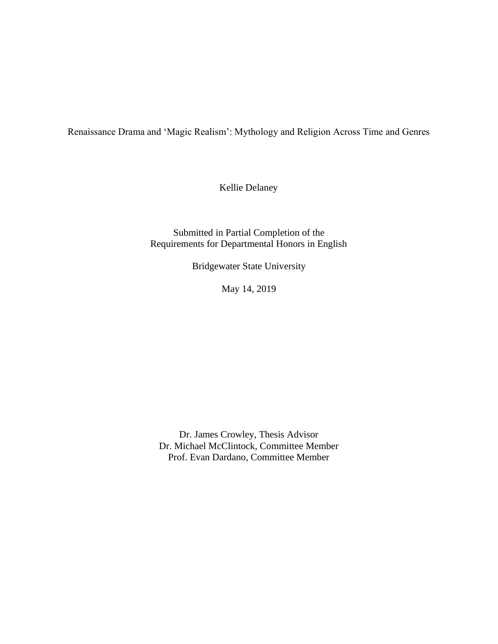Renaissance Drama and 'Magic Realism': Mythology and Religion Across Time and Genres

Kellie Delaney

Submitted in Partial Completion of the Requirements for Departmental Honors in English

Bridgewater State University

May 14, 2019

Dr. James Crowley, Thesis Advisor Dr. Michael McClintock, Committee Member Prof. Evan Dardano, Committee Member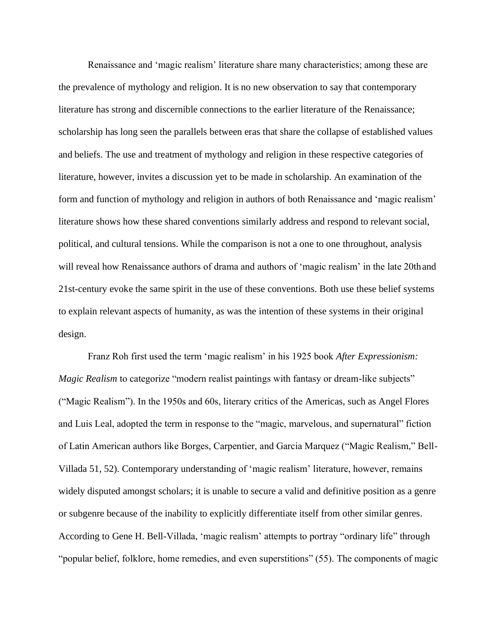Renaissance and 'magic realism' literature share many characteristics; among these are the prevalence of mythology and religion. It is no new observation to say that contemporary literature has strong and discernible connections to the earlier literature of the Renaissance; scholarship has long seen the parallels between eras that share the collapse of established values and beliefs. The use and treatment of mythology and religion in these respective categories of literature, however, invites a discussion yet to be made in scholarship. An examination of the form and function of mythology and religion in authors of both Renaissance and 'magic realism' literature shows how these shared conventions similarly address and respond to relevant social, political, and cultural tensions. While the comparison is not a one to one throughout, analysis will reveal how Renaissance authors of drama and authors of 'magic realism' in the late 20th and 21st-century evoke the same spirit in the use of these conventions. Both use these belief systems to explain relevant aspects of humanity, as was the intention of these systems in their original design.

Franz Roh first used the term 'magic realism' in his 1925 book *After Expressionism: Magic Realism* to categorize "modern realist paintings with fantasy or dream-like subjects" ("Magic Realism"). In the 1950s and 60s, literary critics of the Americas, such as Angel Flores and Luis Leal, adopted the term in response to the "magic, marvelous, and supernatural" fiction of Latin American authors like Borges, Carpentier, and Garcia Marquez ("Magic Realism," Bell-Villada 51, 52). Contemporary understanding of 'magic realism' literature, however, remains widely disputed amongst scholars; it is unable to secure a valid and definitive position as a genre or subgenre because of the inability to explicitly differentiate itself from other similar genres. According to Gene H. Bell-Villada, 'magic realism' attempts to portray "ordinary life" through "popular belief, folklore, home remedies, and even superstitions" (55). The components of magic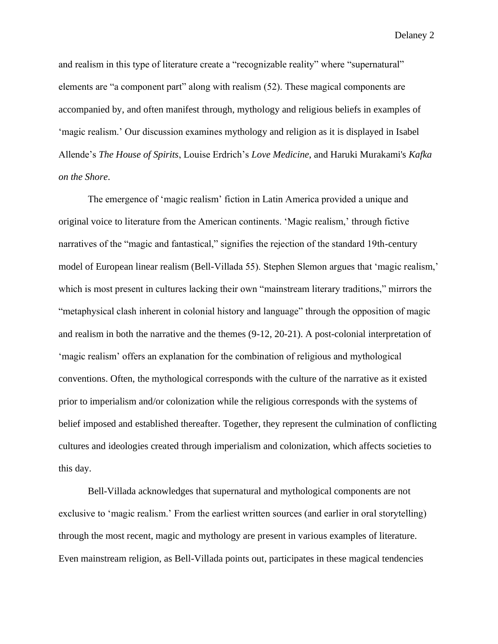and realism in this type of literature create a "recognizable reality" where "supernatural" elements are "a component part" along with realism (52). These magical components are accompanied by, and often manifest through, mythology and religious beliefs in examples of 'magic realism.' Our discussion examines mythology and religion as it is displayed in Isabel Allende's *The House of Spirits*, Louise Erdrich's *Love Medicine*, and Haruki Murakami's *Kafka on the Shore*.

The emergence of 'magic realism' fiction in Latin America provided a unique and original voice to literature from the American continents. 'Magic realism,' through fictive narratives of the "magic and fantastical," signifies the rejection of the standard 19th-century model of European linear realism (Bell-Villada 55). Stephen Slemon argues that 'magic realism,' which is most present in cultures lacking their own "mainstream literary traditions," mirrors the "metaphysical clash inherent in colonial history and language" through the opposition of magic and realism in both the narrative and the themes (9-12, 20-21). A post-colonial interpretation of 'magic realism' offers an explanation for the combination of religious and mythological conventions. Often, the mythological corresponds with the culture of the narrative as it existed prior to imperialism and/or colonization while the religious corresponds with the systems of belief imposed and established thereafter. Together, they represent the culmination of conflicting cultures and ideologies created through imperialism and colonization, which affects societies to this day.

Bell-Villada acknowledges that supernatural and mythological components are not exclusive to 'magic realism.' From the earliest written sources (and earlier in oral storytelling) through the most recent, magic and mythology are present in various examples of literature. Even mainstream religion, as Bell-Villada points out, participates in these magical tendencies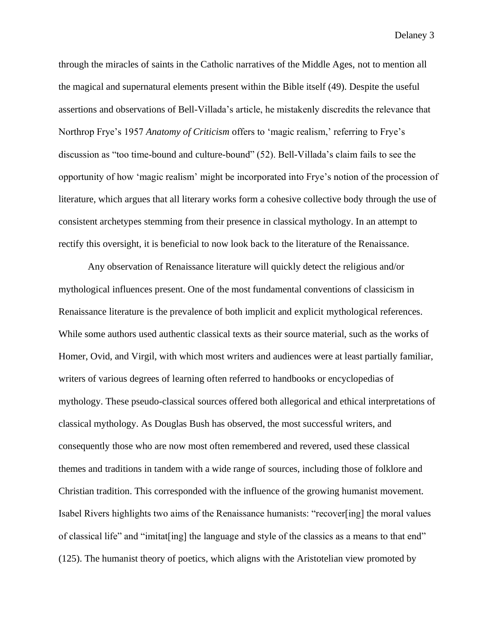through the miracles of saints in the Catholic narratives of the Middle Ages, not to mention all the magical and supernatural elements present within the Bible itself (49). Despite the useful assertions and observations of Bell-Villada's article, he mistakenly discredits the relevance that Northrop Frye's 1957 *Anatomy of Criticism* offers to 'magic realism,' referring to Frye's discussion as "too time-bound and culture-bound" (52). Bell-Villada's claim fails to see the opportunity of how 'magic realism' might be incorporated into Frye's notion of the procession of literature, which argues that all literary works form a cohesive collective body through the use of consistent archetypes stemming from their presence in classical mythology. In an attempt to rectify this oversight, it is beneficial to now look back to the literature of the Renaissance.

Any observation of Renaissance literature will quickly detect the religious and/or mythological influences present. One of the most fundamental conventions of classicism in Renaissance literature is the prevalence of both implicit and explicit mythological references. While some authors used authentic classical texts as their source material, such as the works of Homer, Ovid, and Virgil, with which most writers and audiences were at least partially familiar, writers of various degrees of learning often referred to handbooks or encyclopedias of mythology. These pseudo-classical sources offered both allegorical and ethical interpretations of classical mythology. As Douglas Bush has observed, the most successful writers, and consequently those who are now most often remembered and revered, used these classical themes and traditions in tandem with a wide range of sources, including those of folklore and Christian tradition. This corresponded with the influence of the growing humanist movement. Isabel Rivers highlights two aims of the Renaissance humanists: "recover[ing] the moral values of classical life" and "imitat[ing] the language and style of the classics as a means to that end" (125). The humanist theory of poetics, which aligns with the Aristotelian view promoted by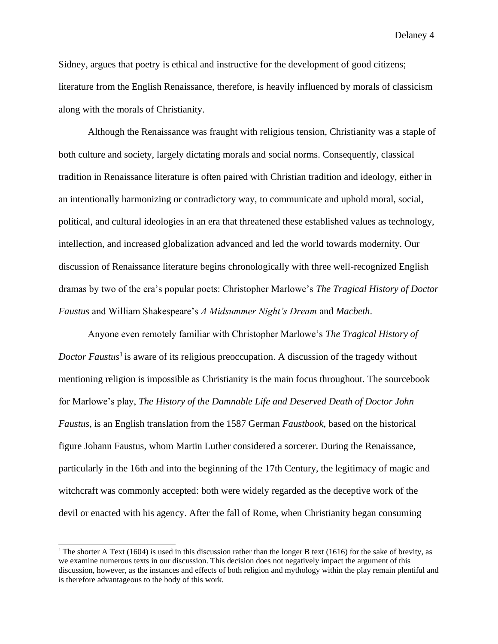Sidney, argues that poetry is ethical and instructive for the development of good citizens; literature from the English Renaissance, therefore, is heavily influenced by morals of classicism along with the morals of Christianity.

Although the Renaissance was fraught with religious tension, Christianity was a staple of both culture and society, largely dictating morals and social norms. Consequently, classical tradition in Renaissance literature is often paired with Christian tradition and ideology, either in an intentionally harmonizing or contradictory way, to communicate and uphold moral, social, political, and cultural ideologies in an era that threatened these established values as technology, intellection, and increased globalization advanced and led the world towards modernity. Our discussion of Renaissance literature begins chronologically with three well-recognized English dramas by two of the era's popular poets: Christopher Marlowe's *The Tragical History of Doctor Faustus* and William Shakespeare's *A Midsummer Night's Dream* and *Macbeth*.

Anyone even remotely familiar with Christopher Marlowe's *The Tragical History of Doctor Faustus*<sup>1</sup> is aware of its religious preoccupation. A discussion of the tragedy without mentioning religion is impossible as Christianity is the main focus throughout. The sourcebook for Marlowe's play, *The History of the Damnable Life and Deserved Death of Doctor John Faustus,* is an English translation from the 1587 German *Faustbook*, based on the historical figure Johann Faustus, whom Martin Luther considered a sorcerer. During the Renaissance, particularly in the 16th and into the beginning of the 17th Century, the legitimacy of magic and witchcraft was commonly accepted: both were widely regarded as the deceptive work of the devil or enacted with his agency. After the fall of Rome, when Christianity began consuming

<sup>&</sup>lt;sup>1</sup> The shorter A Text (1604) is used in this discussion rather than the longer B text (1616) for the sake of brevity, as we examine numerous texts in our discussion. This decision does not negatively impact the argument of this discussion, however, as the instances and effects of both religion and mythology within the play remain plentiful and is therefore advantageous to the body of this work.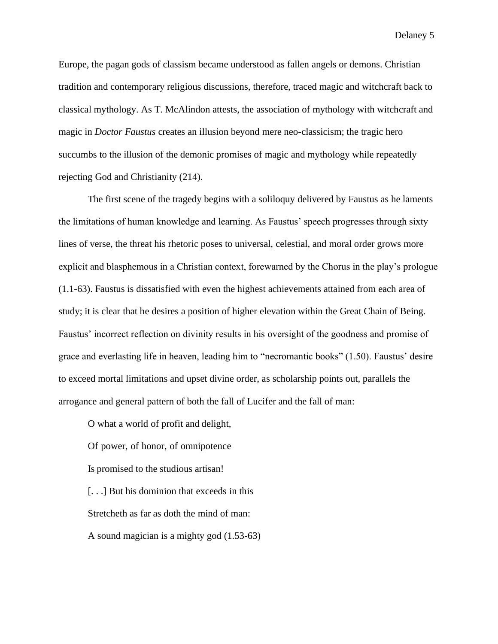Europe, the pagan gods of classism became understood as fallen angels or demons. Christian tradition and contemporary religious discussions, therefore, traced magic and witchcraft back to classical mythology. As T. McAlindon attests, the association of mythology with witchcraft and magic in *Doctor Faustus* creates an illusion beyond mere neo-classicism; the tragic hero succumbs to the illusion of the demonic promises of magic and mythology while repeatedly rejecting God and Christianity (214).

The first scene of the tragedy begins with a soliloquy delivered by Faustus as he laments the limitations of human knowledge and learning. As Faustus' speech progresses through sixty lines of verse, the threat his rhetoric poses to universal, celestial, and moral order grows more explicit and blasphemous in a Christian context, forewarned by the Chorus in the play's prologue (1.1-63). Faustus is dissatisfied with even the highest achievements attained from each area of study; it is clear that he desires a position of higher elevation within the Great Chain of Being. Faustus' incorrect reflection on divinity results in his oversight of the goodness and promise of grace and everlasting life in heaven, leading him to "necromantic books" (1.50). Faustus' desire to exceed mortal limitations and upset divine order, as scholarship points out, parallels the arrogance and general pattern of both the fall of Lucifer and the fall of man:

O what a world of profit and delight, Of power, of honor, of omnipotence Is promised to the studious artisan! [. . .] But his dominion that exceeds in this Stretcheth as far as doth the mind of man: A sound magician is a mighty god (1.53-63)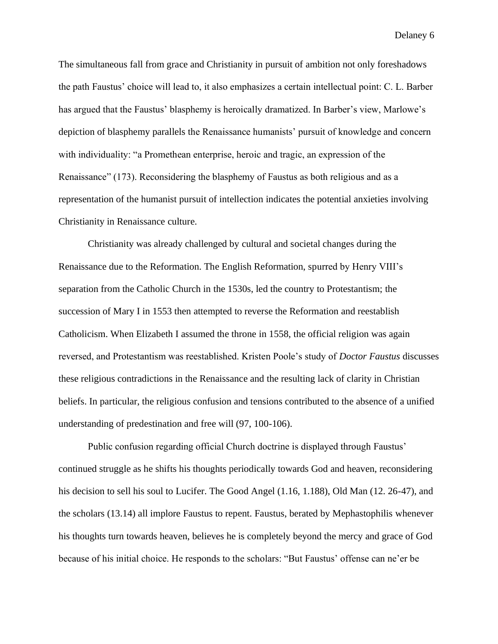The simultaneous fall from grace and Christianity in pursuit of ambition not only foreshadows the path Faustus' choice will lead to, it also emphasizes a certain intellectual point: C. L. Barber has argued that the Faustus' blasphemy is heroically dramatized. In Barber's view, Marlowe's depiction of blasphemy parallels the Renaissance humanists' pursuit of knowledge and concern with individuality: "a Promethean enterprise, heroic and tragic, an expression of the Renaissance" (173). Reconsidering the blasphemy of Faustus as both religious and as a representation of the humanist pursuit of intellection indicates the potential anxieties involving Christianity in Renaissance culture.

Christianity was already challenged by cultural and societal changes during the Renaissance due to the Reformation. The English Reformation, spurred by Henry VIII's separation from the Catholic Church in the 1530s, led the country to Protestantism; the succession of Mary I in 1553 then attempted to reverse the Reformation and reestablish Catholicism. When Elizabeth I assumed the throne in 1558, the official religion was again reversed, and Protestantism was reestablished. Kristen Poole's study of *Doctor Faustus* discusses these religious contradictions in the Renaissance and the resulting lack of clarity in Christian beliefs. In particular, the religious confusion and tensions contributed to the absence of a unified understanding of predestination and free will (97, 100-106).

Public confusion regarding official Church doctrine is displayed through Faustus' continued struggle as he shifts his thoughts periodically towards God and heaven, reconsidering his decision to sell his soul to Lucifer. The Good Angel (1.16, 1.188), Old Man (12. 26-47), and the scholars (13.14) all implore Faustus to repent. Faustus, berated by Mephastophilis whenever his thoughts turn towards heaven, believes he is completely beyond the mercy and grace of God because of his initial choice. He responds to the scholars: "But Faustus' offense can ne'er be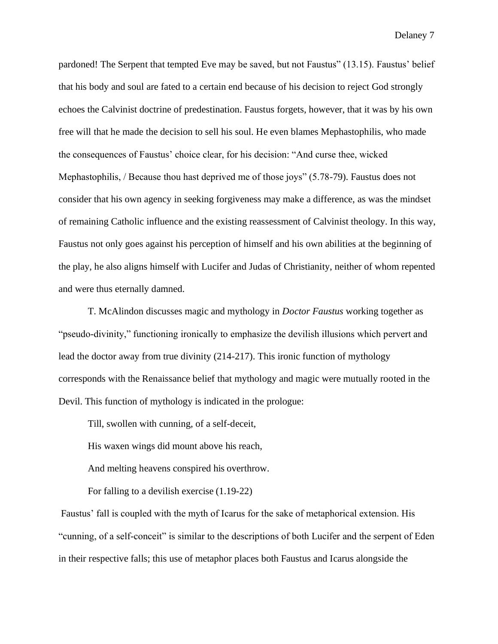pardoned! The Serpent that tempted Eve may be saved, but not Faustus" (13.15). Faustus' belief that his body and soul are fated to a certain end because of his decision to reject God strongly echoes the Calvinist doctrine of predestination. Faustus forgets, however, that it was by his own free will that he made the decision to sell his soul. He even blames Mephastophilis, who made the consequences of Faustus' choice clear, for his decision: "And curse thee, wicked Mephastophilis, / Because thou hast deprived me of those joys" (5.78-79). Faustus does not consider that his own agency in seeking forgiveness may make a difference, as was the mindset of remaining Catholic influence and the existing reassessment of Calvinist theology. In this way, Faustus not only goes against his perception of himself and his own abilities at the beginning of the play, he also aligns himself with Lucifer and Judas of Christianity, neither of whom repented and were thus eternally damned.

T. McAlindon discusses magic and mythology in *Doctor Faustus* working together as "pseudo-divinity," functioning ironically to emphasize the devilish illusions which pervert and lead the doctor away from true divinity (214-217). This ironic function of mythology corresponds with the Renaissance belief that mythology and magic were mutually rooted in the Devil. This function of mythology is indicated in the prologue:

Till, swollen with cunning, of a self-deceit,

His waxen wings did mount above his reach,

And melting heavens conspired his overthrow.

For falling to a devilish exercise (1.19-22)

Faustus' fall is coupled with the myth of Icarus for the sake of metaphorical extension. His "cunning, of a self-conceit" is similar to the descriptions of both Lucifer and the serpent of Eden in their respective falls; this use of metaphor places both Faustus and Icarus alongside the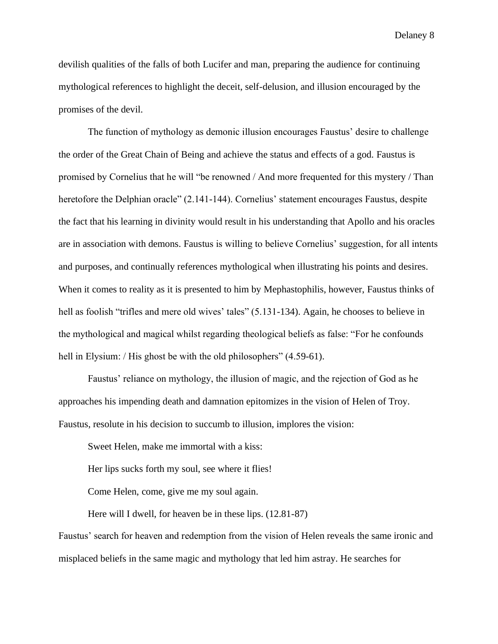devilish qualities of the falls of both Lucifer and man, preparing the audience for continuing mythological references to highlight the deceit, self-delusion, and illusion encouraged by the promises of the devil.

The function of mythology as demonic illusion encourages Faustus' desire to challenge the order of the Great Chain of Being and achieve the status and effects of a god. Faustus is promised by Cornelius that he will "be renowned / And more frequented for this mystery / Than heretofore the Delphian oracle" (2.141-144). Cornelius' statement encourages Faustus, despite the fact that his learning in divinity would result in his understanding that Apollo and his oracles are in association with demons. Faustus is willing to believe Cornelius' suggestion, for all intents and purposes, and continually references mythological when illustrating his points and desires. When it comes to reality as it is presented to him by Mephastophilis, however, Faustus thinks of hell as foolish "trifles and mere old wives' tales" (5.131-134). Again, he chooses to believe in the mythological and magical whilst regarding theological beliefs as false: "For he confounds hell in Elysium: / His ghost be with the old philosophers" (4.59-61).

Faustus' reliance on mythology, the illusion of magic, and the rejection of God as he approaches his impending death and damnation epitomizes in the vision of Helen of Troy. Faustus, resolute in his decision to succumb to illusion, implores the vision:

Sweet Helen, make me immortal with a kiss:

Her lips sucks forth my soul, see where it flies!

Come Helen, come, give me my soul again.

Here will I dwell, for heaven be in these lips. (12.81-87)

Faustus' search for heaven and redemption from the vision of Helen reveals the same ironic and misplaced beliefs in the same magic and mythology that led him astray. He searches for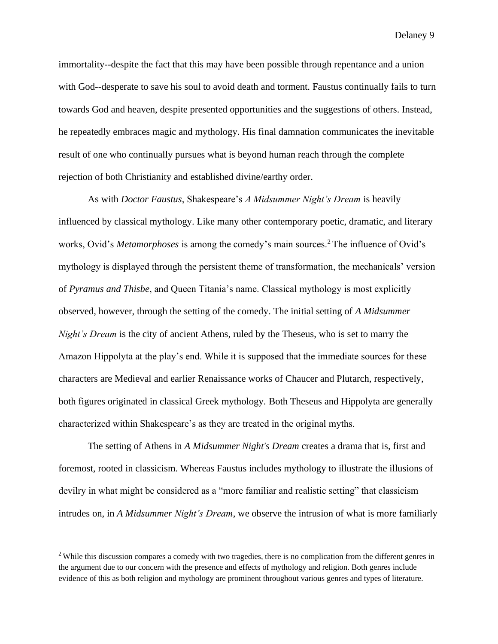immortality--despite the fact that this may have been possible through repentance and a union with God--desperate to save his soul to avoid death and torment. Faustus continually fails to turn towards God and heaven, despite presented opportunities and the suggestions of others. Instead, he repeatedly embraces magic and mythology. His final damnation communicates the inevitable result of one who continually pursues what is beyond human reach through the complete rejection of both Christianity and established divine/earthy order.

As with *Doctor Faustus*, Shakespeare's *A Midsummer Night's Dream* is heavily influenced by classical mythology. Like many other contemporary poetic, dramatic, and literary works, Ovid's *Metamorphoses* is among the comedy's main sources.<sup>2</sup> The influence of Ovid's mythology is displayed through the persistent theme of transformation, the mechanicals' version of *Pyramus and Thisbe*, and Queen Titania's name. Classical mythology is most explicitly observed, however, through the setting of the comedy. The initial setting of *A Midsummer Night's Dream* is the city of ancient Athens, ruled by the Theseus, who is set to marry the Amazon Hippolyta at the play's end. While it is supposed that the immediate sources for these characters are Medieval and earlier Renaissance works of Chaucer and Plutarch, respectively, both figures originated in classical Greek mythology. Both Theseus and Hippolyta are generally characterized within Shakespeare's as they are treated in the original myths.

The setting of Athens in *A Midsummer Night's Dream* creates a drama that is, first and foremost, rooted in classicism. Whereas Faustus includes mythology to illustrate the illusions of devilry in what might be considered as a "more familiar and realistic setting" that classicism intrudes on, in *A Midsummer Night's Dream*, we observe the intrusion of what is more familiarly

<sup>&</sup>lt;sup>2</sup> While this discussion compares a comedy with two tragedies, there is no complication from the different genres in the argument due to our concern with the presence and effects of mythology and religion. Both genres include evidence of this as both religion and mythology are prominent throughout various genres and types of literature.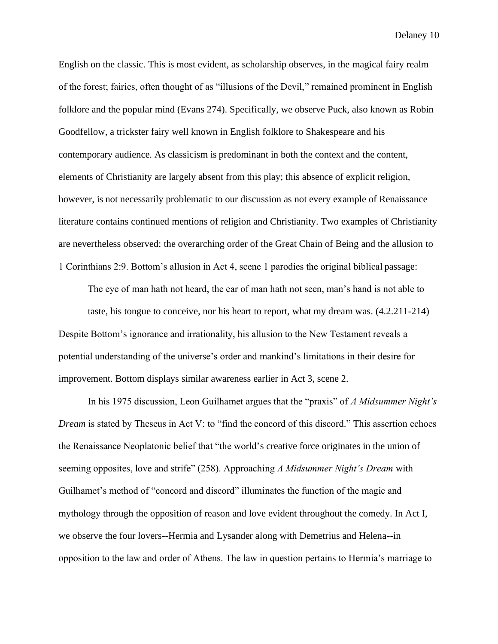English on the classic. This is most evident, as scholarship observes, in the magical fairy realm of the forest; fairies, often thought of as "illusions of the Devil," remained prominent in English folklore and the popular mind (Evans 274). Specifically, we observe Puck, also known as Robin Goodfellow, a trickster fairy well known in English folklore to Shakespeare and his contemporary audience. As classicism is predominant in both the context and the content, elements of Christianity are largely absent from this play; this absence of explicit religion, however, is not necessarily problematic to our discussion as not every example of Renaissance literature contains continued mentions of religion and Christianity. Two examples of Christianity are nevertheless observed: the overarching order of the Great Chain of Being and the allusion to 1 Corinthians 2:9. Bottom's allusion in Act 4, scene 1 parodies the original biblical passage:

The eye of man hath not heard, the ear of man hath not seen, man's hand is not able to taste, his tongue to conceive, nor his heart to report, what my dream was. (4.2.211-214) Despite Bottom's ignorance and irrationality, his allusion to the New Testament reveals a potential understanding of the universe's order and mankind's limitations in their desire for improvement. Bottom displays similar awareness earlier in Act 3, scene 2.

In his 1975 discussion, Leon Guilhamet argues that the "praxis" of *A Midsummer Night's Dream* is stated by Theseus in Act V: to "find the concord of this discord." This assertion echoes the Renaissance Neoplatonic belief that "the world's creative force originates in the union of seeming opposites, love and strife" (258). Approaching *A Midsummer Night's Dream* with Guilhamet's method of "concord and discord" illuminates the function of the magic and mythology through the opposition of reason and love evident throughout the comedy. In Act I, we observe the four lovers--Hermia and Lysander along with Demetrius and Helena--in opposition to the law and order of Athens. The law in question pertains to Hermia's marriage to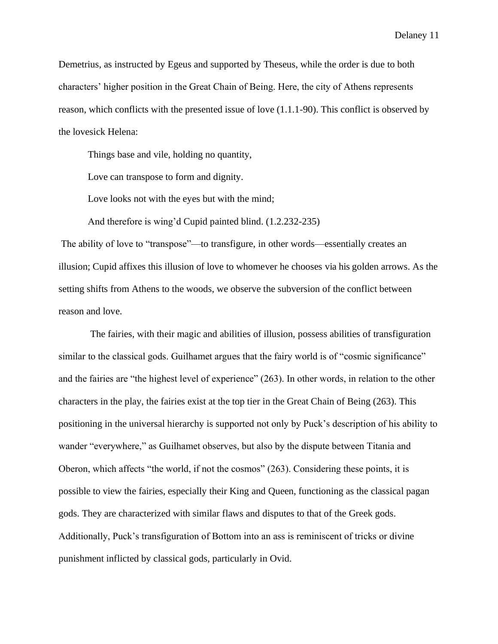Demetrius, as instructed by Egeus and supported by Theseus, while the order is due to both characters' higher position in the Great Chain of Being. Here, the city of Athens represents reason, which conflicts with the presented issue of love (1.1.1-90). This conflict is observed by the lovesick Helena:

Things base and vile, holding no quantity,

Love can transpose to form and dignity.

Love looks not with the eyes but with the mind;

And therefore is wing'd Cupid painted blind. (1.2.232-235)

The ability of love to "transpose"—to transfigure, in other words—essentially creates an illusion; Cupid affixes this illusion of love to whomever he chooses via his golden arrows. As the setting shifts from Athens to the woods, we observe the subversion of the conflict between reason and love.

The fairies, with their magic and abilities of illusion, possess abilities of transfiguration similar to the classical gods. Guilhamet argues that the fairy world is of "cosmic significance" and the fairies are "the highest level of experience" (263). In other words, in relation to the other characters in the play, the fairies exist at the top tier in the Great Chain of Being (263). This positioning in the universal hierarchy is supported not only by Puck's description of his ability to wander "everywhere," as Guilhamet observes, but also by the dispute between Titania and Oberon, which affects "the world, if not the cosmos" (263). Considering these points, it is possible to view the fairies, especially their King and Queen, functioning as the classical pagan gods. They are characterized with similar flaws and disputes to that of the Greek gods. Additionally, Puck's transfiguration of Bottom into an ass is reminiscent of tricks or divine punishment inflicted by classical gods, particularly in Ovid.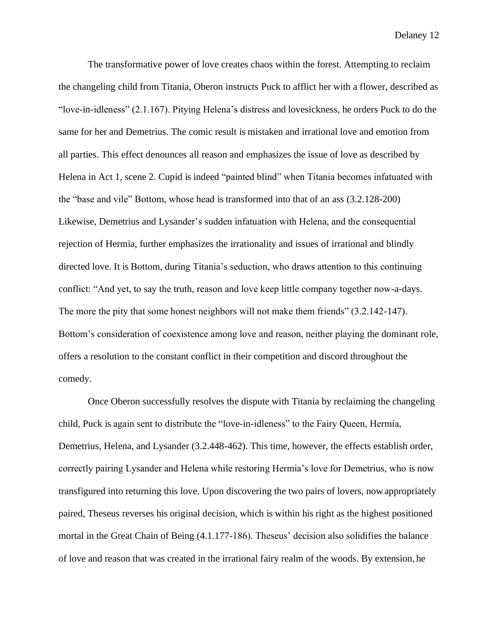The transformative power of love creates chaos within the forest. Attempting to reclaim the changeling child from Titania, Oberon instructs Puck to afflict her with a flower, described as "love-in-idleness" (2.1.167). Pitying Helena's distress and lovesickness, he orders Puck to do the same for her and Demetrius. The comic result is mistaken and irrational love and emotion from all parties. This effect denounces all reason and emphasizes the issue of love as described by Helena in Act 1, scene 2. Cupid is indeed "painted blind" when Titania becomes infatuated with the "base and vile" Bottom, whose head is transformed into that of an ass (3.2.128-200) Likewise, Demetrius and Lysander's sudden infatuation with Helena, and the consequential rejection of Hermia, further emphasizes the irrationality and issues of irrational and blindly directed love. It is Bottom, during Titania's seduction, who draws attention to this continuing conflict: "And yet, to say the truth, reason and love keep little company together now-a-days. The more the pity that some honest neighbors will not make them friends" (3.2.142-147). Bottom's consideration of coexistence among love and reason, neither playing the dominant role, offers a resolution to the constant conflict in their competition and discord throughout the comedy.

Once Oberon successfully resolves the dispute with Titania by reclaiming the changeling child, Puck is again sent to distribute the "love-in-idleness" to the Fairy Queen, Hermia, Demetrius, Helena, and Lysander (3.2.448-462). This time, however, the effects establish order, correctly pairing Lysander and Helena while restoring Hermia's love for Demetrius, who is now transfigured into returning this love. Upon discovering the two pairs of lovers, now appropriately paired, Theseus reverses his original decision, which is within his right as the highest positioned mortal in the Great Chain of Being (4.1.177-186). Theseus' decision also solidifies the balance of love and reason that was created in the irrational fairy realm of the woods. By extension, he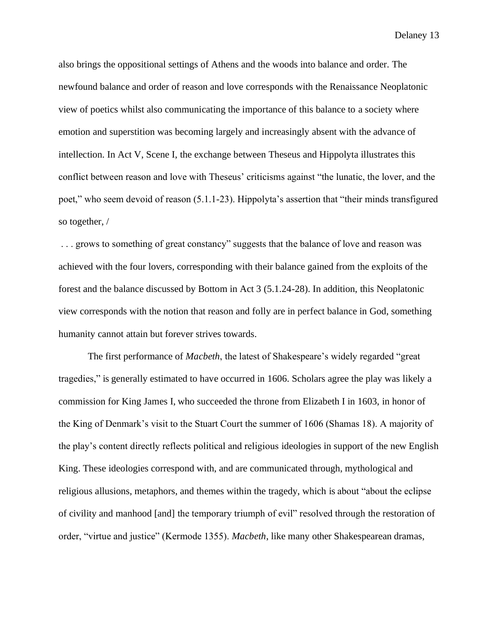also brings the oppositional settings of Athens and the woods into balance and order. The newfound balance and order of reason and love corresponds with the Renaissance Neoplatonic view of poetics whilst also communicating the importance of this balance to a society where emotion and superstition was becoming largely and increasingly absent with the advance of intellection. In Act V, Scene I, the exchange between Theseus and Hippolyta illustrates this conflict between reason and love with Theseus' criticisms against "the lunatic, the lover, and the poet," who seem devoid of reason (5.1.1-23). Hippolyta's assertion that "their minds transfigured so together, /

... grows to something of great constancy" suggests that the balance of love and reason was achieved with the four lovers, corresponding with their balance gained from the exploits of the forest and the balance discussed by Bottom in Act 3 (5.1.24-28). In addition, this Neoplatonic view corresponds with the notion that reason and folly are in perfect balance in God, something humanity cannot attain but forever strives towards.

The first performance of *Macbeth*, the latest of Shakespeare's widely regarded "great tragedies," is generally estimated to have occurred in 1606. Scholars agree the play was likely a commission for King James I, who succeeded the throne from Elizabeth I in 1603, in honor of the King of Denmark's visit to the Stuart Court the summer of 1606 (Shamas 18). A majority of the play's content directly reflects political and religious ideologies in support of the new English King. These ideologies correspond with, and are communicated through, mythological and religious allusions, metaphors, and themes within the tragedy, which is about "about the eclipse of civility and manhood [and] the temporary triumph of evil" resolved through the restoration of order, "virtue and justice" (Kermode 1355). *Macbeth*, like many other Shakespearean dramas,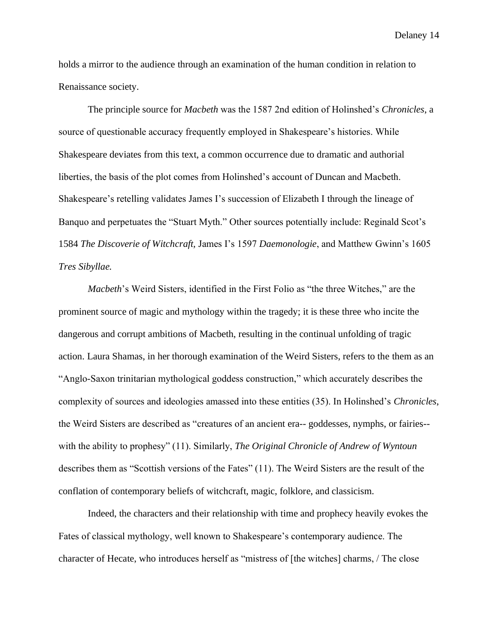holds a mirror to the audience through an examination of the human condition in relation to Renaissance society.

The principle source for *Macbeth* was the 1587 2nd edition of Holinshed's *Chronicles*, a source of questionable accuracy frequently employed in Shakespeare's histories. While Shakespeare deviates from this text, a common occurrence due to dramatic and authorial liberties, the basis of the plot comes from Holinshed's account of Duncan and Macbeth. Shakespeare's retelling validates James I's succession of Elizabeth I through the lineage of Banquo and perpetuates the "Stuart Myth." Other sources potentially include: Reginald Scot's 1584 *The Discoverie of Witchcraft,* James I's 1597 *Daemonologie*, and Matthew Gwinn's 1605 *Tres Sibyllae.*

*Macbeth*'s Weird Sisters, identified in the First Folio as "the three Witches," are the prominent source of magic and mythology within the tragedy; it is these three who incite the dangerous and corrupt ambitions of Macbeth, resulting in the continual unfolding of tragic action. Laura Shamas, in her thorough examination of the Weird Sisters, refers to the them as an "Anglo-Saxon trinitarian mythological goddess construction," which accurately describes the complexity of sources and ideologies amassed into these entities (35). In Holinshed's *Chronicles*, the Weird Sisters are described as "creatures of an ancient era-- goddesses, nymphs, or fairies- with the ability to prophesy" (11). Similarly, *The Original Chronicle of Andrew of Wyntoun*  describes them as "Scottish versions of the Fates" (11). The Weird Sisters are the result of the conflation of contemporary beliefs of witchcraft, magic, folklore, and classicism.

Indeed, the characters and their relationship with time and prophecy heavily evokes the Fates of classical mythology, well known to Shakespeare's contemporary audience. The character of Hecate, who introduces herself as "mistress of [the witches] charms, / The close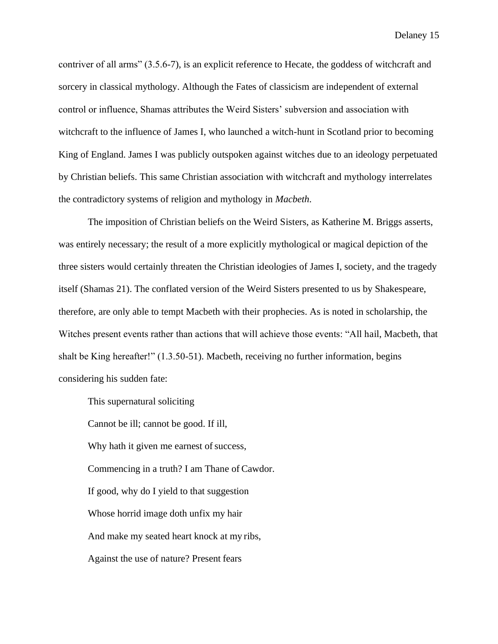contriver of all arms" (3.5.6-7), is an explicit reference to Hecate, the goddess of witchcraft and sorcery in classical mythology. Although the Fates of classicism are independent of external control or influence, Shamas attributes the Weird Sisters' subversion and association with witchcraft to the influence of James I, who launched a witch-hunt in Scotland prior to becoming King of England. James I was publicly outspoken against witches due to an ideology perpetuated by Christian beliefs. This same Christian association with witchcraft and mythology interrelates the contradictory systems of religion and mythology in *Macbeth*.

The imposition of Christian beliefs on the Weird Sisters, as Katherine M. Briggs asserts, was entirely necessary; the result of a more explicitly mythological or magical depiction of the three sisters would certainly threaten the Christian ideologies of James I, society, and the tragedy itself (Shamas 21). The conflated version of the Weird Sisters presented to us by Shakespeare, therefore, are only able to tempt Macbeth with their prophecies. As is noted in scholarship, the Witches present events rather than actions that will achieve those events: "All hail, Macbeth, that shalt be King hereafter!" (1.3.50-51). Macbeth, receiving no further information, begins considering his sudden fate:

This supernatural soliciting

Cannot be ill; cannot be good. If ill,

Why hath it given me earnest of success,

Commencing in a truth? I am Thane of Cawdor.

If good, why do I yield to that suggestion

Whose horrid image doth unfix my hair

And make my seated heart knock at my ribs,

Against the use of nature? Present fears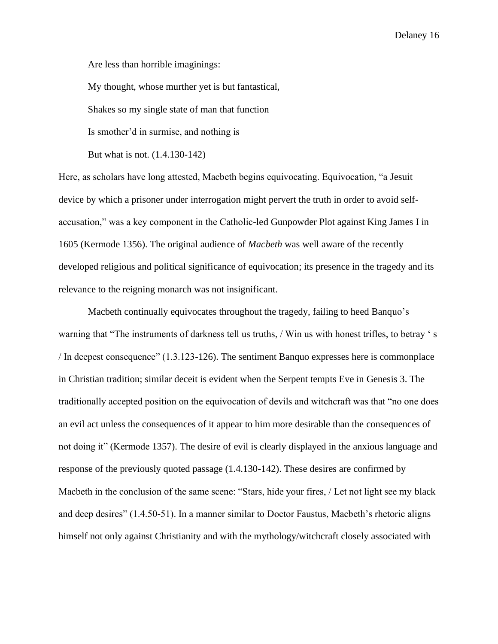Are less than horrible imaginings:

My thought, whose murther yet is but fantastical,

Shakes so my single state of man that function

Is smother'd in surmise, and nothing is

But what is not. (1.4.130-142)

Here, as scholars have long attested, Macbeth begins equivocating. Equivocation, "a Jesuit device by which a prisoner under interrogation might pervert the truth in order to avoid selfaccusation," was a key component in the Catholic-led Gunpowder Plot against King James I in 1605 (Kermode 1356). The original audience of *Macbeth* was well aware of the recently developed religious and political significance of equivocation; its presence in the tragedy and its relevance to the reigning monarch was not insignificant.

Macbeth continually equivocates throughout the tragedy, failing to heed Banquo's warning that "The instruments of darkness tell us truths, / Win us with honest trifles, to betray ' s / In deepest consequence" (1.3.123-126). The sentiment Banquo expresses here is commonplace in Christian tradition; similar deceit is evident when the Serpent tempts Eve in Genesis 3. The traditionally accepted position on the equivocation of devils and witchcraft was that "no one does an evil act unless the consequences of it appear to him more desirable than the consequences of not doing it" (Kermode 1357). The desire of evil is clearly displayed in the anxious language and response of the previously quoted passage (1.4.130-142). These desires are confirmed by Macbeth in the conclusion of the same scene: "Stars, hide your fires, / Let not light see my black and deep desires" (1.4.50-51). In a manner similar to Doctor Faustus, Macbeth's rhetoric aligns himself not only against Christianity and with the mythology/witchcraft closely associated with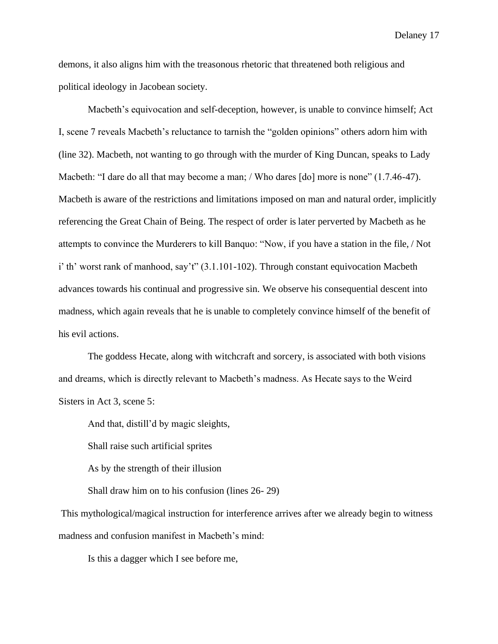demons, it also aligns him with the treasonous rhetoric that threatened both religious and political ideology in Jacobean society.

Macbeth's equivocation and self-deception, however, is unable to convince himself; Act I, scene 7 reveals Macbeth's reluctance to tarnish the "golden opinions" others adorn him with (line 32). Macbeth, not wanting to go through with the murder of King Duncan, speaks to Lady Macbeth: "I dare do all that may become a man; / Who dares [do] more is none" (1.7.46-47). Macbeth is aware of the restrictions and limitations imposed on man and natural order, implicitly referencing the Great Chain of Being. The respect of order is later perverted by Macbeth as he attempts to convince the Murderers to kill Banquo: "Now, if you have a station in the file, / Not i' th' worst rank of manhood, say't" (3.1.101-102). Through constant equivocation Macbeth advances towards his continual and progressive sin. We observe his consequential descent into madness, which again reveals that he is unable to completely convince himself of the benefit of his evil actions.

The goddess Hecate, along with witchcraft and sorcery, is associated with both visions and dreams, which is directly relevant to Macbeth's madness. As Hecate says to the Weird Sisters in Act 3, scene 5:

And that, distill'd by magic sleights,

Shall raise such artificial sprites

As by the strength of their illusion

Shall draw him on to his confusion (lines 26- 29)

This mythological/magical instruction for interference arrives after we already begin to witness madness and confusion manifest in Macbeth's mind:

Is this a dagger which I see before me,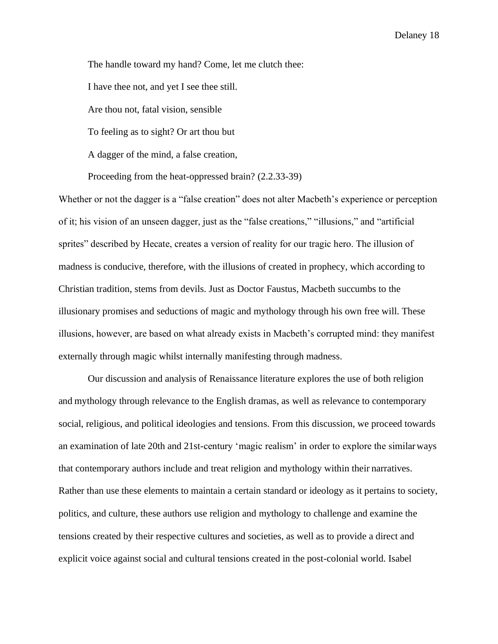The handle toward my hand? Come, let me clutch thee: I have thee not, and yet I see thee still. Are thou not, fatal vision, sensible To feeling as to sight? Or art thou but A dagger of the mind, a false creation, Proceeding from the heat-oppressed brain? (2.2.33-39)

Whether or not the dagger is a "false creation" does not alter Macbeth's experience or perception of it; his vision of an unseen dagger, just as the "false creations," "illusions," and "artificial sprites" described by Hecate, creates a version of reality for our tragic hero. The illusion of madness is conducive, therefore, with the illusions of created in prophecy, which according to Christian tradition, stems from devils. Just as Doctor Faustus, Macbeth succumbs to the illusionary promises and seductions of magic and mythology through his own free will. These illusions, however, are based on what already exists in Macbeth's corrupted mind: they manifest externally through magic whilst internally manifesting through madness.

Our discussion and analysis of Renaissance literature explores the use of both religion and mythology through relevance to the English dramas, as well as relevance to contemporary social, religious, and political ideologies and tensions. From this discussion, we proceed towards an examination of late 20th and 21st-century 'magic realism' in order to explore the similarways that contemporary authors include and treat religion and mythology within their narratives. Rather than use these elements to maintain a certain standard or ideology as it pertains to society, politics, and culture, these authors use religion and mythology to challenge and examine the tensions created by their respective cultures and societies, as well as to provide a direct and explicit voice against social and cultural tensions created in the post-colonial world. Isabel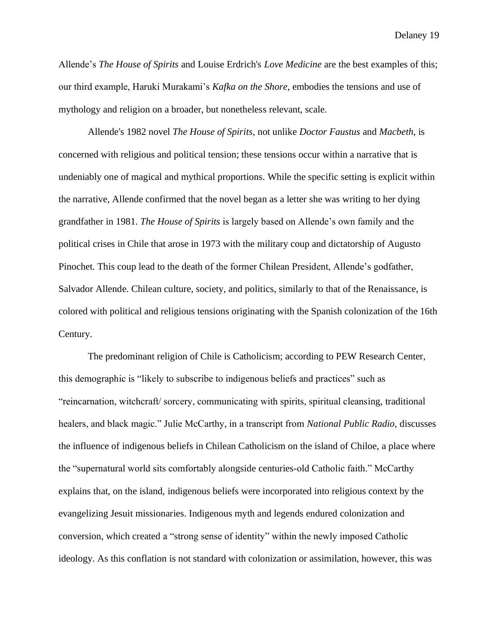Allende's *The House of Spirits* and Louise Erdrich's *Love Medicine* are the best examples of this; our third example, Haruki Murakami's *Kafka on the Shore*, embodies the tensions and use of mythology and religion on a broader, but nonetheless relevant, scale.

Allende's 1982 novel *The House of Spirits,* not unlike *Doctor Faustus* and *Macbeth*, is concerned with religious and political tension; these tensions occur within a narrative that is undeniably one of magical and mythical proportions. While the specific setting is explicit within the narrative, Allende confirmed that the novel began as a letter she was writing to her dying grandfather in 1981. *The House of Spirits* is largely based on Allende's own family and the political crises in Chile that arose in 1973 with the military coup and dictatorship of Augusto Pinochet. This coup lead to the death of the former Chilean President, Allende's godfather, Salvador Allende. Chilean culture, society, and politics, similarly to that of the Renaissance, is colored with political and religious tensions originating with the Spanish colonization of the 16th Century.

The predominant religion of Chile is Catholicism; according to PEW Research Center, this demographic is "likely to subscribe to indigenous beliefs and practices" such as "reincarnation, witchcraft/ sorcery, communicating with spirits, spiritual cleansing, traditional healers, and black magic." Julie McCarthy, in a transcript from *National Public Radio*, discusses the influence of indigenous beliefs in Chilean Catholicism on the island of Chiloe, a place where the "supernatural world sits comfortably alongside centuries-old Catholic faith." McCarthy explains that, on the island, indigenous beliefs were incorporated into religious context by the evangelizing Jesuit missionaries. Indigenous myth and legends endured colonization and conversion, which created a "strong sense of identity" within the newly imposed Catholic ideology. As this conflation is not standard with colonization or assimilation, however, this was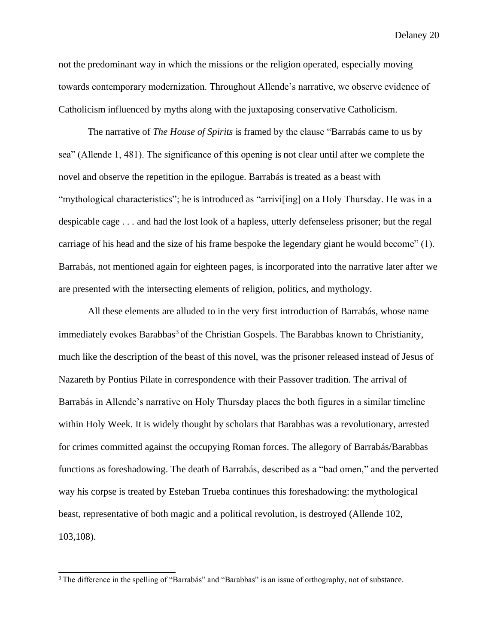not the predominant way in which the missions or the religion operated, especially moving towards contemporary modernization. Throughout Allende's narrative, we observe evidence of Catholicism influenced by myths along with the juxtaposing conservative Catholicism.

The narrative of *The House of Spirits* is framed by the clause "Barrabás came to us by sea" (Allende 1, 481). The significance of this opening is not clear until after we complete the novel and observe the repetition in the epilogue. Barrabás is treated as a beast with "mythological characteristics"; he is introduced as "arrivi[ing] on a Holy Thursday. He was in a despicable cage . . . and had the lost look of a hapless, utterly defenseless prisoner; but the regal carriage of his head and the size of his frame bespoke the legendary giant he would become" (1). Barrabás, not mentioned again for eighteen pages, is incorporated into the narrative later after we are presented with the intersecting elements of religion, politics, and mythology.

All these elements are alluded to in the very first introduction of Barrabás, whose name immediately evokes Barabbas<sup>3</sup> of the Christian Gospels. The Barabbas known to Christianity, much like the description of the beast of this novel, was the prisoner released instead of Jesus of Nazareth by Pontius Pilate in correspondence with their Passover tradition. The arrival of Barrabás in Allende's narrative on Holy Thursday places the both figures in a similar timeline within Holy Week. It is widely thought by scholars that Barabbas was a revolutionary, arrested for crimes committed against the occupying Roman forces. The allegory of Barrabás/Barabbas functions as foreshadowing. The death of Barrabás, described as a "bad omen," and the perverted way his corpse is treated by Esteban Trueba continues this foreshadowing: the mythological beast, representative of both magic and a political revolution, is destroyed (Allende 102, 103,108).

<sup>&</sup>lt;sup>3</sup> The difference in the spelling of "Barrabás" and "Barabbas" is an issue of orthography, not of substance.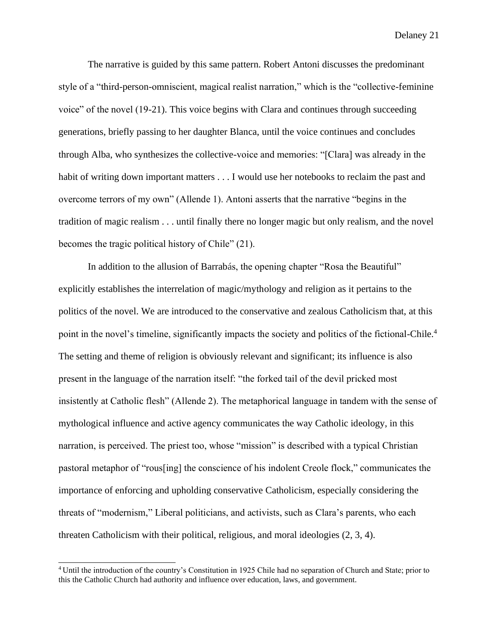The narrative is guided by this same pattern. Robert Antoni discusses the predominant style of a "third-person-omniscient, magical realist narration," which is the "collective-feminine voice" of the novel (19-21). This voice begins with Clara and continues through succeeding generations, briefly passing to her daughter Blanca, until the voice continues and concludes through Alba, who synthesizes the collective-voice and memories: "[Clara] was already in the habit of writing down important matters . . . I would use her notebooks to reclaim the past and overcome terrors of my own" (Allende 1). Antoni asserts that the narrative "begins in the tradition of magic realism . . . until finally there no longer magic but only realism, and the novel becomes the tragic political history of Chile" (21).

In addition to the allusion of Barrabás, the opening chapter "Rosa the Beautiful" explicitly establishes the interrelation of magic/mythology and religion as it pertains to the politics of the novel. We are introduced to the conservative and zealous Catholicism that, at this point in the novel's timeline, significantly impacts the society and politics of the fictional-Chile.<sup>4</sup> The setting and theme of religion is obviously relevant and significant; its influence is also present in the language of the narration itself: "the forked tail of the devil pricked most insistently at Catholic flesh" (Allende 2). The metaphorical language in tandem with the sense of mythological influence and active agency communicates the way Catholic ideology, in this narration, is perceived. The priest too, whose "mission" is described with a typical Christian pastoral metaphor of "rous[ing] the conscience of his indolent Creole flock," communicates the importance of enforcing and upholding conservative Catholicism, especially considering the threats of "modernism," Liberal politicians, and activists, such as Clara's parents, who each threaten Catholicism with their political, religious, and moral ideologies (2, 3, 4).

<sup>4</sup>Until the introduction of the country's Constitution in 1925 Chile had no separation of Church and State; prior to this the Catholic Church had authority and influence over education, laws, and government.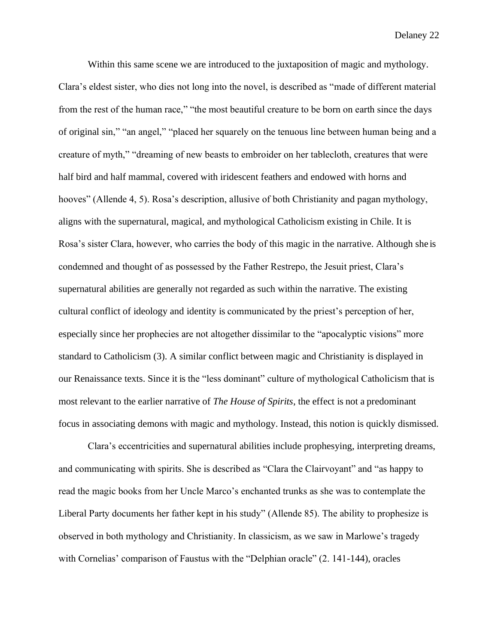Within this same scene we are introduced to the juxtaposition of magic and mythology. Clara's eldest sister, who dies not long into the novel, is described as "made of different material from the rest of the human race," "the most beautiful creature to be born on earth since the days of original sin," "an angel," "placed her squarely on the tenuous line between human being and a creature of myth," "dreaming of new beasts to embroider on her tablecloth, creatures that were half bird and half mammal, covered with iridescent feathers and endowed with horns and hooves" (Allende 4, 5). Rosa's description, allusive of both Christianity and pagan mythology, aligns with the supernatural, magical, and mythological Catholicism existing in Chile. It is Rosa's sister Clara, however, who carries the body of this magic in the narrative. Although she is condemned and thought of as possessed by the Father Restrepo, the Jesuit priest, Clara's supernatural abilities are generally not regarded as such within the narrative. The existing cultural conflict of ideology and identity is communicated by the priest's perception of her, especially since her prophecies are not altogether dissimilar to the "apocalyptic visions" more standard to Catholicism (3). A similar conflict between magic and Christianity is displayed in our Renaissance texts. Since it is the "less dominant" culture of mythological Catholicism that is most relevant to the earlier narrative of *The House of Spirits*, the effect is not a predominant focus in associating demons with magic and mythology. Instead, this notion is quickly dismissed.

Clara's eccentricities and supernatural abilities include prophesying, interpreting dreams, and communicating with spirits. She is described as "Clara the Clairvoyant" and "as happy to read the magic books from her Uncle Marco's enchanted trunks as she was to contemplate the Liberal Party documents her father kept in his study" (Allende 85). The ability to prophesize is observed in both mythology and Christianity. In classicism, as we saw in Marlowe's tragedy with Cornelias' comparison of Faustus with the "Delphian oracle" (2. 141-144), oracles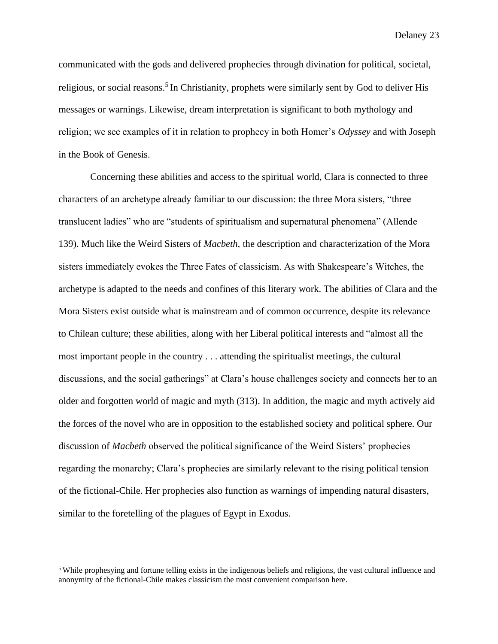communicated with the gods and delivered prophecies through divination for political, societal, religious, or social reasons.<sup>5</sup> In Christianity, prophets were similarly sent by God to deliver His messages or warnings. Likewise, dream interpretation is significant to both mythology and religion; we see examples of it in relation to prophecy in both Homer's *Odyssey* and with Joseph in the Book of Genesis.

Concerning these abilities and access to the spiritual world, Clara is connected to three characters of an archetype already familiar to our discussion: the three Mora sisters, "three translucent ladies" who are "students of spiritualism and supernatural phenomena" (Allende 139). Much like the Weird Sisters of *Macbeth,* the description and characterization of the Mora sisters immediately evokes the Three Fates of classicism. As with Shakespeare's Witches, the archetype is adapted to the needs and confines of this literary work. The abilities of Clara and the Mora Sisters exist outside what is mainstream and of common occurrence, despite its relevance to Chilean culture; these abilities, along with her Liberal political interests and "almost all the most important people in the country . . . attending the spiritualist meetings, the cultural discussions, and the social gatherings" at Clara's house challenges society and connects her to an older and forgotten world of magic and myth (313). In addition, the magic and myth actively aid the forces of the novel who are in opposition to the established society and political sphere. Our discussion of *Macbeth* observed the political significance of the Weird Sisters' prophecies regarding the monarchy; Clara's prophecies are similarly relevant to the rising political tension of the fictional-Chile. Her prophecies also function as warnings of impending natural disasters, similar to the foretelling of the plagues of Egypt in Exodus.

<sup>5</sup>While prophesying and fortune telling exists in the indigenous beliefs and religions, the vast cultural influence and anonymity of the fictional-Chile makes classicism the most convenient comparison here.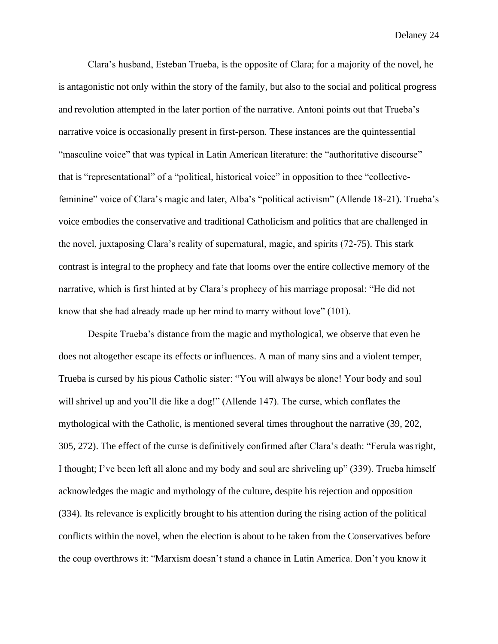Clara's husband, Esteban Trueba, is the opposite of Clara; for a majority of the novel, he is antagonistic not only within the story of the family, but also to the social and political progress and revolution attempted in the later portion of the narrative. Antoni points out that Trueba's narrative voice is occasionally present in first-person. These instances are the quintessential "masculine voice" that was typical in Latin American literature: the "authoritative discourse" that is "representational" of a "political, historical voice" in opposition to thee "collectivefeminine" voice of Clara's magic and later, Alba's "political activism" (Allende 18-21). Trueba's voice embodies the conservative and traditional Catholicism and politics that are challenged in the novel, juxtaposing Clara's reality of supernatural, magic, and spirits (72-75). This stark contrast is integral to the prophecy and fate that looms over the entire collective memory of the narrative, which is first hinted at by Clara's prophecy of his marriage proposal: "He did not know that she had already made up her mind to marry without love" (101).

Despite Trueba's distance from the magic and mythological, we observe that even he does not altogether escape its effects or influences. A man of many sins and a violent temper, Trueba is cursed by his pious Catholic sister: "You will always be alone! Your body and soul will shrivel up and you'll die like a dog!" (Allende 147). The curse, which conflates the mythological with the Catholic, is mentioned several times throughout the narrative (39, 202, 305, 272). The effect of the curse is definitively confirmed after Clara's death: "Ferula wasright, I thought; I've been left all alone and my body and soul are shriveling up" (339). Trueba himself acknowledges the magic and mythology of the culture, despite his rejection and opposition (334). Its relevance is explicitly brought to his attention during the rising action of the political conflicts within the novel, when the election is about to be taken from the Conservatives before the coup overthrows it: "Marxism doesn't stand a chance in Latin America. Don't you know it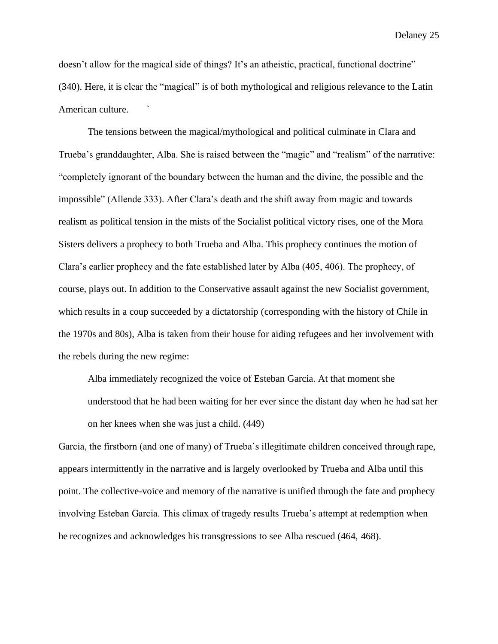doesn't allow for the magical side of things? It's an atheistic, practical, functional doctrine" (340). Here, it is clear the "magical" is of both mythological and religious relevance to the Latin American culture. `

The tensions between the magical/mythological and political culminate in Clara and Trueba's granddaughter, Alba. She is raised between the "magic" and "realism" of the narrative: "completely ignorant of the boundary between the human and the divine, the possible and the impossible" (Allende 333). After Clara's death and the shift away from magic and towards realism as political tension in the mists of the Socialist political victory rises, one of the Mora Sisters delivers a prophecy to both Trueba and Alba. This prophecy continues the motion of Clara's earlier prophecy and the fate established later by Alba (405, 406). The prophecy, of course, plays out. In addition to the Conservative assault against the new Socialist government, which results in a coup succeeded by a dictatorship (corresponding with the history of Chile in the 1970s and 80s), Alba is taken from their house for aiding refugees and her involvement with the rebels during the new regime:

Alba immediately recognized the voice of Esteban Garcia. At that moment she understood that he had been waiting for her ever since the distant day when he had sat her on her knees when she was just a child. (449)

Garcia, the firstborn (and one of many) of Trueba's illegitimate children conceived through rape, appears intermittently in the narrative and is largely overlooked by Trueba and Alba until this point. The collective-voice and memory of the narrative is unified through the fate and prophecy involving Esteban Garcia. This climax of tragedy results Trueba's attempt at redemption when he recognizes and acknowledges his transgressions to see Alba rescued (464, 468).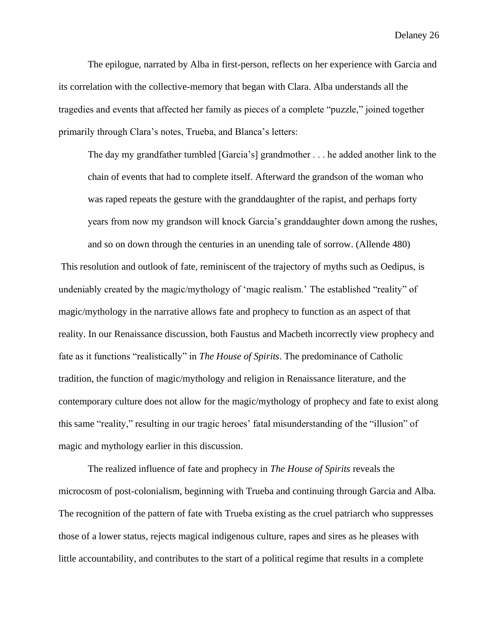The epilogue, narrated by Alba in first-person, reflects on her experience with Garcia and its correlation with the collective-memory that began with Clara. Alba understands all the tragedies and events that affected her family as pieces of a complete "puzzle," joined together primarily through Clara's notes, Trueba, and Blanca's letters:

The day my grandfather tumbled [Garcia's] grandmother . . . he added another link to the chain of events that had to complete itself. Afterward the grandson of the woman who was raped repeats the gesture with the granddaughter of the rapist, and perhaps forty years from now my grandson will knock Garcia's granddaughter down among the rushes,

and so on down through the centuries in an unending tale of sorrow. (Allende 480) This resolution and outlook of fate, reminiscent of the trajectory of myths such as Oedipus, is undeniably created by the magic/mythology of 'magic realism.' The established "reality" of magic/mythology in the narrative allows fate and prophecy to function as an aspect of that reality. In our Renaissance discussion, both Faustus and Macbeth incorrectly view prophecy and fate as it functions "realistically" in *The House of Spirits*. The predominance of Catholic tradition, the function of magic/mythology and religion in Renaissance literature, and the contemporary culture does not allow for the magic/mythology of prophecy and fate to exist along this same "reality," resulting in our tragic heroes' fatal misunderstanding of the "illusion" of magic and mythology earlier in this discussion.

The realized influence of fate and prophecy in *The House of Spirits* reveals the microcosm of post-colonialism, beginning with Trueba and continuing through Garcia and Alba. The recognition of the pattern of fate with Trueba existing as the cruel patriarch who suppresses those of a lower status, rejects magical indigenous culture, rapes and sires as he pleases with little accountability, and contributes to the start of a political regime that results in a complete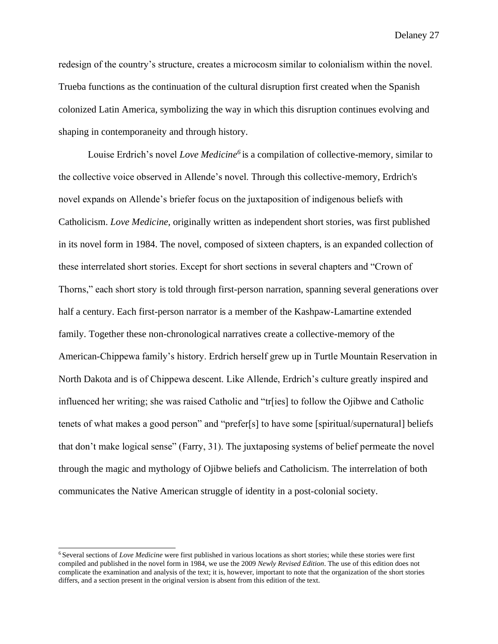redesign of the country's structure, creates a microcosm similar to colonialism within the novel. Trueba functions as the continuation of the cultural disruption first created when the Spanish colonized Latin America, symbolizing the way in which this disruption continues evolving and shaping in contemporaneity and through history.

Louise Erdrich's novel *Love Medicine<sup>6</sup>*is a compilation of collective-memory, similar to the collective voice observed in Allende's novel. Through this collective-memory, Erdrich's novel expands on Allende's briefer focus on the juxtaposition of indigenous beliefs with Catholicism. *Love Medicine*, originally written as independent short stories, was first published in its novel form in 1984. The novel, composed of sixteen chapters, is an expanded collection of these interrelated short stories. Except for short sections in several chapters and "Crown of Thorns," each short story is told through first-person narration, spanning several generations over half a century. Each first-person narrator is a member of the Kashpaw-Lamartine extended family. Together these non-chronological narratives create a collective-memory of the American-Chippewa family's history. Erdrich herself grew up in Turtle Mountain Reservation in North Dakota and is of Chippewa descent. Like Allende, Erdrich's culture greatly inspired and influenced her writing; she was raised Catholic and "tr[ies] to follow the Ojibwe and Catholic tenets of what makes a good person" and "prefer[s] to have some [spiritual/supernatural] beliefs that don't make logical sense" (Farry, 31). The juxtaposing systems of belief permeate the novel through the magic and mythology of Ojibwe beliefs and Catholicism. The interrelation of both communicates the Native American struggle of identity in a post-colonial society.

<sup>6</sup>Several sections of *Love Medicine* were first published in various locations as short stories; while these stories were first compiled and published in the novel form in 1984, we use the 2009 *Newly Revised Edition*. The use of this edition does not complicate the examination and analysis of the text; it is, however, important to note that the organization of the short stories differs, and a section present in the original version is absent from this edition of the text.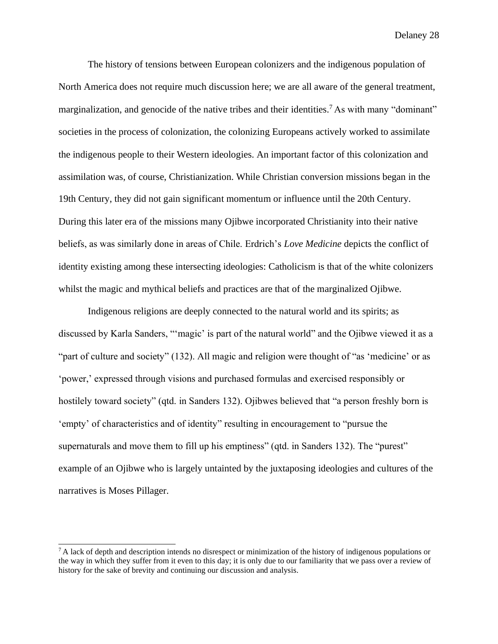The history of tensions between European colonizers and the indigenous population of North America does not require much discussion here; we are all aware of the general treatment, marginalization, and genocide of the native tribes and their identities.<sup>7</sup> As with many "dominant" societies in the process of colonization, the colonizing Europeans actively worked to assimilate the indigenous people to their Western ideologies. An important factor of this colonization and assimilation was, of course, Christianization. While Christian conversion missions began in the 19th Century, they did not gain significant momentum or influence until the 20th Century. During this later era of the missions many Ojibwe incorporated Christianity into their native beliefs, as was similarly done in areas of Chile. Erdrich's *Love Medicine* depicts the conflict of identity existing among these intersecting ideologies: Catholicism is that of the white colonizers whilst the magic and mythical beliefs and practices are that of the marginalized Ojibwe.

Indigenous religions are deeply connected to the natural world and its spirits; as discussed by Karla Sanders, "'magic' is part of the natural world" and the Ojibwe viewed it as a "part of culture and society" (132). All magic and religion were thought of "as 'medicine' or as 'power,' expressed through visions and purchased formulas and exercised responsibly or hostilely toward society" (qtd. in Sanders 132). Ojibwes believed that "a person freshly born is 'empty' of characteristics and of identity" resulting in encouragement to "pursue the supernaturals and move them to fill up his emptiness" (qtd. in Sanders 132). The "purest" example of an Ojibwe who is largely untainted by the juxtaposing ideologies and cultures of the narratives is Moses Pillager.

 $^7$ A lack of depth and description intends no disrespect or minimization of the history of indigenous populations or the way in which they suffer from it even to this day; it is only due to our familiarity that we pass over a review of history for the sake of brevity and continuing our discussion and analysis.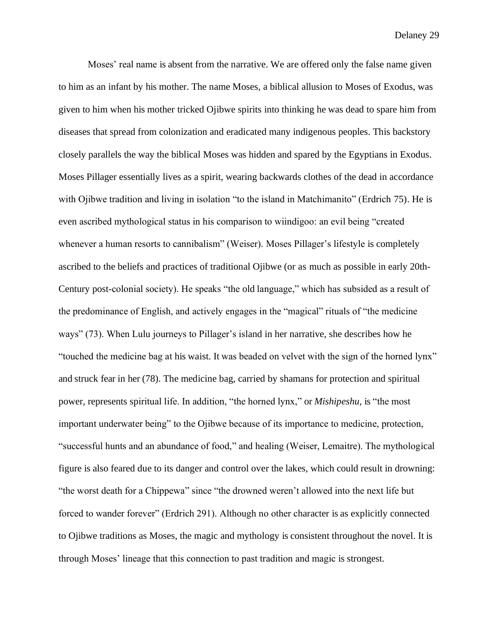Moses' real name is absent from the narrative. We are offered only the false name given to him as an infant by his mother. The name Moses, a biblical allusion to Moses of Exodus, was given to him when his mother tricked Ojibwe spirits into thinking he was dead to spare him from diseases that spread from colonization and eradicated many indigenous peoples. This backstory closely parallels the way the biblical Moses was hidden and spared by the Egyptians in Exodus. Moses Pillager essentially lives as a spirit, wearing backwards clothes of the dead in accordance with Ojibwe tradition and living in isolation "to the island in Matchimanito" (Erdrich 75). He is even ascribed mythological status in his comparison to wiindigoo: an evil being "created whenever a human resorts to cannibalism" (Weiser). Moses Pillager's lifestyle is completely ascribed to the beliefs and practices of traditional Ojibwe (or as much as possible in early 20th-Century post-colonial society). He speaks "the old language," which has subsided as a result of the predominance of English, and actively engages in the "magical" rituals of "the medicine ways" (73). When Lulu journeys to Pillager's island in her narrative, she describes how he "touched the medicine bag at his waist. It was beaded on velvet with the sign of the horned lynx" and struck fear in her (78). The medicine bag, carried by shamans for protection and spiritual power, represents spiritual life. In addition, "the horned lynx," or *Mishipeshu*, is "the most important underwater being" to the Ojibwe because of its importance to medicine, protection, "successful hunts and an abundance of food," and healing (Weiser, Lemaitre). The mythological figure is also feared due to its danger and control over the lakes, which could result in drowning: "the worst death for a Chippewa" since "the drowned weren't allowed into the next life but forced to wander forever" (Erdrich 291). Although no other character is as explicitly connected to Ojibwe traditions as Moses, the magic and mythology is consistent throughout the novel. It is through Moses' lineage that this connection to past tradition and magic is strongest.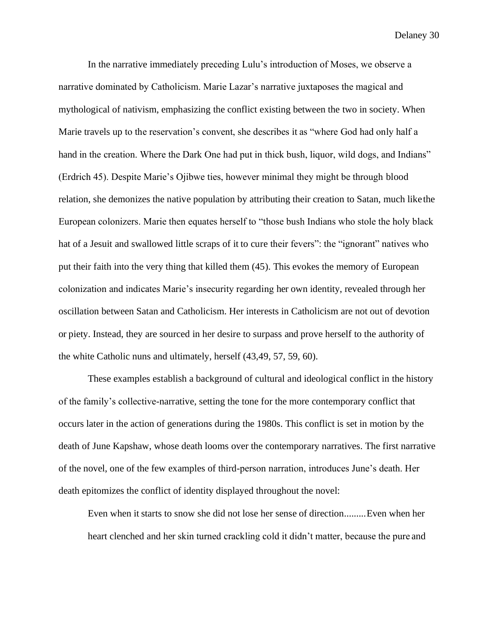In the narrative immediately preceding Lulu's introduction of Moses, we observe a narrative dominated by Catholicism. Marie Lazar's narrative juxtaposes the magical and mythological of nativism, emphasizing the conflict existing between the two in society. When Marie travels up to the reservation's convent, she describes it as "where God had only half a hand in the creation. Where the Dark One had put in thick bush, liquor, wild dogs, and Indians" (Erdrich 45). Despite Marie's Ojibwe ties, however minimal they might be through blood relation, she demonizes the native population by attributing their creation to Satan, much likethe European colonizers. Marie then equates herself to "those bush Indians who stole the holy black hat of a Jesuit and swallowed little scraps of it to cure their fevers": the "ignorant" natives who put their faith into the very thing that killed them (45). This evokes the memory of European colonization and indicates Marie's insecurity regarding her own identity, revealed through her oscillation between Satan and Catholicism. Her interests in Catholicism are not out of devotion or piety. Instead, they are sourced in her desire to surpass and prove herself to the authority of the white Catholic nuns and ultimately, herself (43,49, 57, 59, 60).

These examples establish a background of cultural and ideological conflict in the history of the family's collective-narrative, setting the tone for the more contemporary conflict that occurs later in the action of generations during the 1980s. This conflict is set in motion by the death of June Kapshaw, whose death looms over the contemporary narratives. The first narrative of the novel, one of the few examples of third-person narration, introduces June's death. Her death epitomizes the conflict of identity displayed throughout the novel:

Even when it starts to snow she did not lose her sense of direction.........Even when her heart clenched and her skin turned crackling cold it didn't matter, because the pure and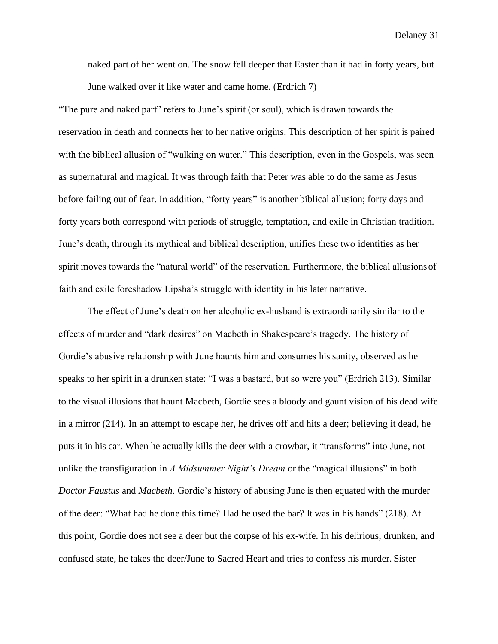naked part of her went on. The snow fell deeper that Easter than it had in forty years, but June walked over it like water and came home. (Erdrich 7)

"The pure and naked part" refers to June's spirit (or soul), which is drawn towards the reservation in death and connects her to her native origins. This description of her spirit is paired with the biblical allusion of "walking on water." This description, even in the Gospels, was seen as supernatural and magical. It was through faith that Peter was able to do the same as Jesus before failing out of fear. In addition, "forty years" is another biblical allusion; forty days and forty years both correspond with periods of struggle, temptation, and exile in Christian tradition. June's death, through its mythical and biblical description, unifies these two identities as her spirit moves towards the "natural world" of the reservation. Furthermore, the biblical allusions of faith and exile foreshadow Lipsha's struggle with identity in his later narrative.

The effect of June's death on her alcoholic ex-husband is extraordinarily similar to the effects of murder and "dark desires" on Macbeth in Shakespeare's tragedy. The history of Gordie's abusive relationship with June haunts him and consumes his sanity, observed as he speaks to her spirit in a drunken state: "I was a bastard, but so were you" (Erdrich 213). Similar to the visual illusions that haunt Macbeth, Gordie sees a bloody and gaunt vision of his dead wife in a mirror (214). In an attempt to escape her, he drives off and hits a deer; believing it dead, he puts it in his car. When he actually kills the deer with a crowbar, it "transforms" into June, not unlike the transfiguration in *A Midsummer Night's Dream* or the "magical illusions" in both *Doctor Faustus* and *Macbeth*. Gordie's history of abusing June is then equated with the murder of the deer: "What had he done this time? Had he used the bar? It was in his hands" (218). At this point, Gordie does not see a deer but the corpse of his ex-wife. In his delirious, drunken, and confused state, he takes the deer/June to Sacred Heart and tries to confess his murder. Sister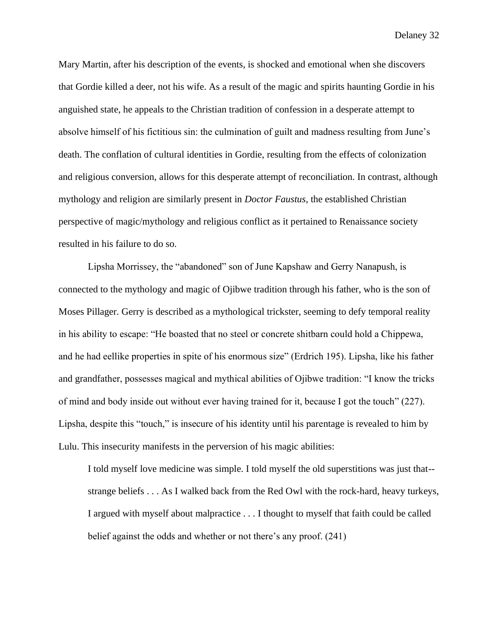Mary Martin, after his description of the events, is shocked and emotional when she discovers that Gordie killed a deer, not his wife. As a result of the magic and spirits haunting Gordie in his anguished state, he appeals to the Christian tradition of confession in a desperate attempt to absolve himself of his fictitious sin: the culmination of guilt and madness resulting from June's death. The conflation of cultural identities in Gordie, resulting from the effects of colonization and religious conversion, allows for this desperate attempt of reconciliation. In contrast, although mythology and religion are similarly present in *Doctor Faustus*, the established Christian perspective of magic/mythology and religious conflict as it pertained to Renaissance society resulted in his failure to do so.

Lipsha Morrissey, the "abandoned" son of June Kapshaw and Gerry Nanapush, is connected to the mythology and magic of Ojibwe tradition through his father, who is the son of Moses Pillager. Gerry is described as a mythological trickster, seeming to defy temporal reality in his ability to escape: "He boasted that no steel or concrete shitbarn could hold a Chippewa, and he had eellike properties in spite of his enormous size" (Erdrich 195). Lipsha, like his father and grandfather, possesses magical and mythical abilities of Ojibwe tradition: "I know the tricks of mind and body inside out without ever having trained for it, because I got the touch" (227). Lipsha, despite this "touch," is insecure of his identity until his parentage is revealed to him by Lulu. This insecurity manifests in the perversion of his magic abilities:

I told myself love medicine was simple. I told myself the old superstitions was just that- strange beliefs . . . As I walked back from the Red Owl with the rock-hard, heavy turkeys, I argued with myself about malpractice . . . I thought to myself that faith could be called belief against the odds and whether or not there's any proof. (241)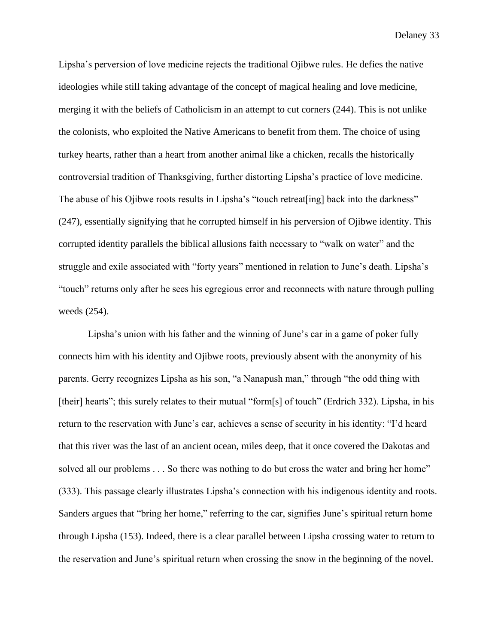Lipsha's perversion of love medicine rejects the traditional Ojibwe rules. He defies the native ideologies while still taking advantage of the concept of magical healing and love medicine, merging it with the beliefs of Catholicism in an attempt to cut corners (244). This is not unlike the colonists, who exploited the Native Americans to benefit from them. The choice of using turkey hearts, rather than a heart from another animal like a chicken, recalls the historically controversial tradition of Thanksgiving, further distorting Lipsha's practice of love medicine. The abuse of his Ojibwe roots results in Lipsha's "touch retreat [ing] back into the darkness" (247), essentially signifying that he corrupted himself in his perversion of Ojibwe identity. This corrupted identity parallels the biblical allusions faith necessary to "walk on water" and the struggle and exile associated with "forty years" mentioned in relation to June's death. Lipsha's "touch" returns only after he sees his egregious error and reconnects with nature through pulling weeds (254).

Lipsha's union with his father and the winning of June's car in a game of poker fully connects him with his identity and Ojibwe roots, previously absent with the anonymity of his parents. Gerry recognizes Lipsha as his son, "a Nanapush man," through "the odd thing with [their] hearts"; this surely relates to their mutual "form[s] of touch" (Erdrich 332). Lipsha, in his return to the reservation with June's car, achieves a sense of security in his identity: "I'd heard that this river was the last of an ancient ocean, miles deep, that it once covered the Dakotas and solved all our problems . . . So there was nothing to do but cross the water and bring her home" (333). This passage clearly illustrates Lipsha's connection with his indigenous identity and roots. Sanders argues that "bring her home," referring to the car, signifies June's spiritual return home through Lipsha (153). Indeed, there is a clear parallel between Lipsha crossing water to return to the reservation and June's spiritual return when crossing the snow in the beginning of the novel.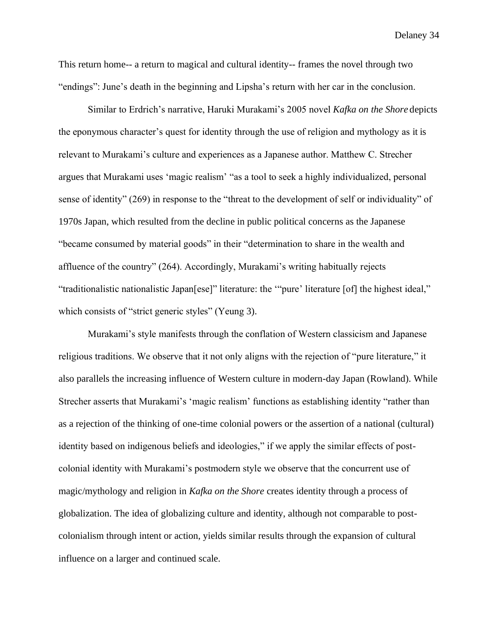This return home-- a return to magical and cultural identity-- frames the novel through two "endings": June's death in the beginning and Lipsha's return with her car in the conclusion.

Similar to Erdrich's narrative, Haruki Murakami's 2005 novel *Kafka on the Shore* depicts the eponymous character's quest for identity through the use of religion and mythology as it is relevant to Murakami's culture and experiences as a Japanese author. Matthew C. Strecher argues that Murakami uses 'magic realism' "as a tool to seek a highly individualized, personal sense of identity" (269) in response to the "threat to the development of self or individuality" of 1970s Japan, which resulted from the decline in public political concerns as the Japanese "became consumed by material goods" in their "determination to share in the wealth and affluence of the country" (264). Accordingly, Murakami's writing habitually rejects "traditionalistic nationalistic Japan[ese]" literature: the '"pure' literature [of] the highest ideal," which consists of "strict generic styles" (Yeung 3).

Murakami's style manifests through the conflation of Western classicism and Japanese religious traditions. We observe that it not only aligns with the rejection of "pure literature," it also parallels the increasing influence of Western culture in modern-day Japan (Rowland). While Strecher asserts that Murakami's 'magic realism' functions as establishing identity "rather than as a rejection of the thinking of one-time colonial powers or the assertion of a national (cultural) identity based on indigenous beliefs and ideologies," if we apply the similar effects of postcolonial identity with Murakami's postmodern style we observe that the concurrent use of magic/mythology and religion in *Kafka on the Shore* creates identity through a process of globalization. The idea of globalizing culture and identity, although not comparable to postcolonialism through intent or action, yields similar results through the expansion of cultural influence on a larger and continued scale.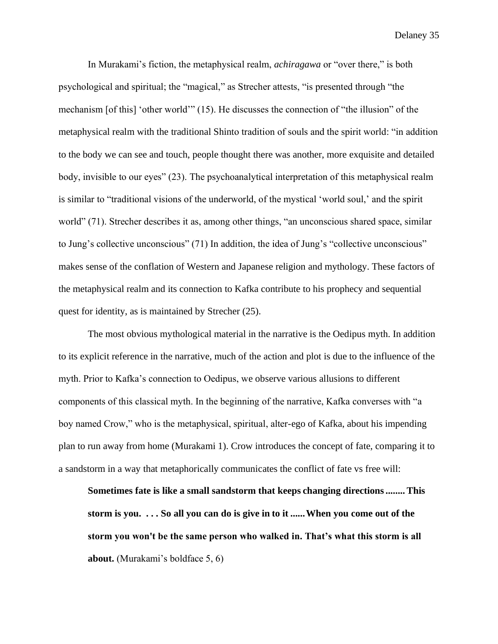In Murakami's fiction, the metaphysical realm, *achiragawa* or "over there," is both psychological and spiritual; the "magical," as Strecher attests, "is presented through "the mechanism [of this] 'other world'" (15). He discusses the connection of "the illusion" of the metaphysical realm with the traditional Shinto tradition of souls and the spirit world: "in addition to the body we can see and touch, people thought there was another, more exquisite and detailed body, invisible to our eyes" (23). The psychoanalytical interpretation of this metaphysical realm is similar to "traditional visions of the underworld, of the mystical 'world soul,' and the spirit world" (71). Strecher describes it as, among other things, "an unconscious shared space, similar to Jung's collective unconscious" (71) In addition, the idea of Jung's "collective unconscious" makes sense of the conflation of Western and Japanese religion and mythology. These factors of the metaphysical realm and its connection to Kafka contribute to his prophecy and sequential quest for identity, as is maintained by Strecher (25).

The most obvious mythological material in the narrative is the Oedipus myth. In addition to its explicit reference in the narrative, much of the action and plot is due to the influence of the myth. Prior to Kafka's connection to Oedipus, we observe various allusions to different components of this classical myth. In the beginning of the narrative, Kafka converses with "a boy named Crow," who is the metaphysical, spiritual, alter-ego of Kafka, about his impending plan to run away from home (Murakami 1). Crow introduces the concept of fate, comparing it to a sandstorm in a way that metaphorically communicates the conflict of fate vs free will:

**Sometimes fate is like a small sandstorm that keeps changing directions........This storm is you. . . . So all you can do is give in to it ......When you come out of the storm you won't be the same person who walked in. That's what this storm is all about.** (Murakami's boldface 5, 6)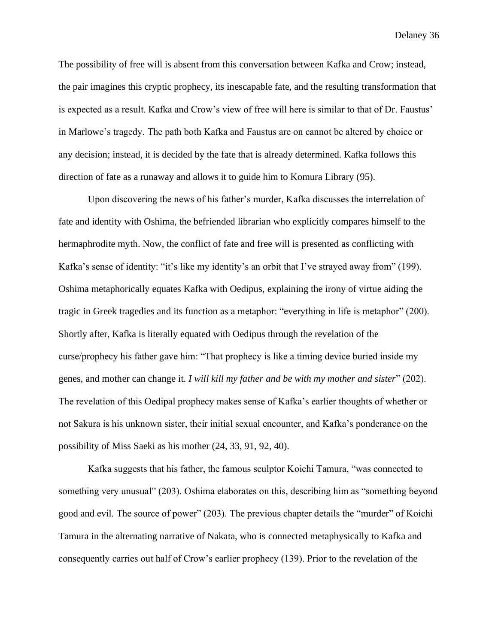The possibility of free will is absent from this conversation between Kafka and Crow; instead, the pair imagines this cryptic prophecy, its inescapable fate, and the resulting transformation that is expected as a result. Kafka and Crow's view of free will here is similar to that of Dr. Faustus' in Marlowe's tragedy. The path both Kafka and Faustus are on cannot be altered by choice or any decision; instead, it is decided by the fate that is already determined. Kafka follows this direction of fate as a runaway and allows it to guide him to Komura Library (95).

Upon discovering the news of his father's murder, Kafka discusses the interrelation of fate and identity with Oshima, the befriended librarian who explicitly compares himself to the hermaphrodite myth. Now, the conflict of fate and free will is presented as conflicting with Kafka's sense of identity: "it's like my identity's an orbit that I've strayed away from" (199). Oshima metaphorically equates Kafka with Oedipus, explaining the irony of virtue aiding the tragic in Greek tragedies and its function as a metaphor: "everything in life is metaphor" (200). Shortly after, Kafka is literally equated with Oedipus through the revelation of the curse/prophecy his father gave him: "That prophecy is like a timing device buried inside my genes, and mother can change it. *I will kill my father and be with my mother and sister*" (202). The revelation of this Oedipal prophecy makes sense of Kafka's earlier thoughts of whether or not Sakura is his unknown sister, their initial sexual encounter, and Kafka's ponderance on the possibility of Miss Saeki as his mother (24, 33, 91, 92, 40).

Kafka suggests that his father, the famous sculptor Koichi Tamura, "was connected to something very unusual" (203). Oshima elaborates on this, describing him as "something beyond good and evil. The source of power" (203). The previous chapter details the "murder" of Koichi Tamura in the alternating narrative of Nakata, who is connected metaphysically to Kafka and consequently carries out half of Crow's earlier prophecy (139). Prior to the revelation of the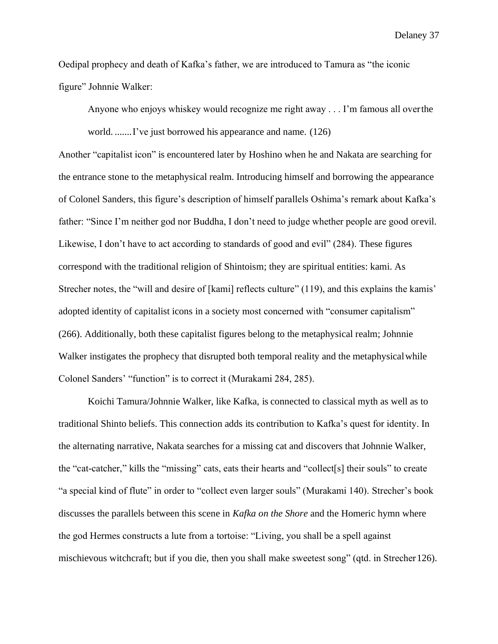Oedipal prophecy and death of Kafka's father, we are introduced to Tamura as "the iconic figure" Johnnie Walker:

Anyone who enjoys whiskey would recognize me right away . . . I'm famous all overthe

world. .......I've just borrowed his appearance and name. (126)

Another "capitalist icon" is encountered later by Hoshino when he and Nakata are searching for the entrance stone to the metaphysical realm. Introducing himself and borrowing the appearance of Colonel Sanders, this figure's description of himself parallels Oshima's remark about Kafka's father: "Since I'm neither god nor Buddha, I don't need to judge whether people are good orevil. Likewise, I don't have to act according to standards of good and evil" (284). These figures correspond with the traditional religion of Shintoism; they are spiritual entities: kami. As Strecher notes, the "will and desire of [kami] reflects culture" (119), and this explains the kamis' adopted identity of capitalist icons in a society most concerned with "consumer capitalism" (266). Additionally, both these capitalist figures belong to the metaphysical realm; Johnnie Walker instigates the prophecy that disrupted both temporal reality and the metaphysical while Colonel Sanders' "function" is to correct it (Murakami 284, 285).

Koichi Tamura/Johnnie Walker, like Kafka, is connected to classical myth as well as to traditional Shinto beliefs. This connection adds its contribution to Kafka's quest for identity. In the alternating narrative, Nakata searches for a missing cat and discovers that Johnnie Walker, the "cat-catcher," kills the "missing" cats, eats their hearts and "collect[s] their souls" to create "a special kind of flute" in order to "collect even larger souls" (Murakami 140). Strecher's book discusses the parallels between this scene in *Kafka on the Shore* and the Homeric hymn where the god Hermes constructs a lute from a tortoise: "Living, you shall be a spell against mischievous witchcraft; but if you die, then you shall make sweetest song" (qtd. in Strecher126).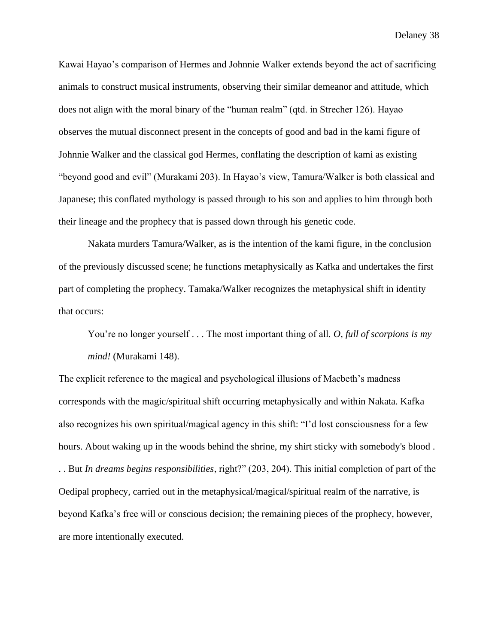Kawai Hayao's comparison of Hermes and Johnnie Walker extends beyond the act of sacrificing animals to construct musical instruments, observing their similar demeanor and attitude, which does not align with the moral binary of the "human realm" (qtd. in Strecher 126). Hayao observes the mutual disconnect present in the concepts of good and bad in the kami figure of Johnnie Walker and the classical god Hermes, conflating the description of kami as existing "beyond good and evil" (Murakami 203). In Hayao's view, Tamura/Walker is both classical and Japanese; this conflated mythology is passed through to his son and applies to him through both their lineage and the prophecy that is passed down through his genetic code.

Nakata murders Tamura/Walker, as is the intention of the kami figure, in the conclusion of the previously discussed scene; he functions metaphysically as Kafka and undertakes the first part of completing the prophecy. Tamaka/Walker recognizes the metaphysical shift in identity that occurs:

You're no longer yourself . . . The most important thing of all. *O, full of scorpions is my mind!* (Murakami 148).

The explicit reference to the magical and psychological illusions of Macbeth's madness corresponds with the magic/spiritual shift occurring metaphysically and within Nakata. Kafka also recognizes his own spiritual/magical agency in this shift: "I'd lost consciousness for a few hours. About waking up in the woods behind the shrine, my shirt sticky with somebody's blood . . . But *In dreams begins responsibilities*, right?" (203, 204). This initial completion of part of the Oedipal prophecy, carried out in the metaphysical/magical/spiritual realm of the narrative, is beyond Kafka's free will or conscious decision; the remaining pieces of the prophecy, however, are more intentionally executed.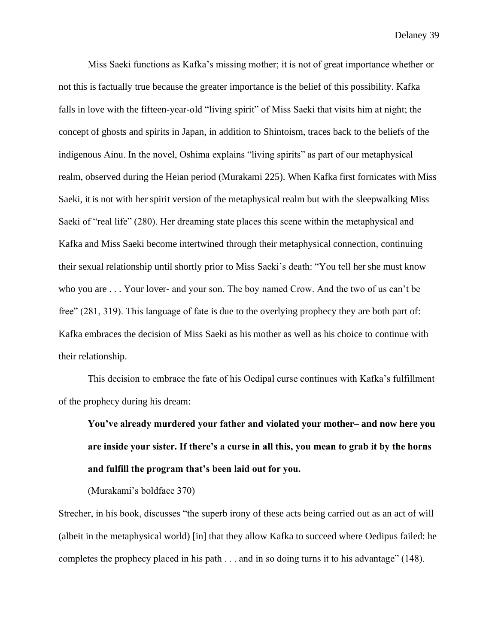Miss Saeki functions as Kafka's missing mother; it is not of great importance whether or not this is factually true because the greater importance is the belief of this possibility. Kafka falls in love with the fifteen-year-old "living spirit" of Miss Saeki that visits him at night; the concept of ghosts and spirits in Japan, in addition to Shintoism, traces back to the beliefs of the indigenous Ainu. In the novel, Oshima explains "living spirits" as part of our metaphysical realm, observed during the Heian period (Murakami 225). When Kafka first fornicates with Miss Saeki, it is not with her spirit version of the metaphysical realm but with the sleepwalking Miss Saeki of "real life" (280). Her dreaming state places this scene within the metaphysical and Kafka and Miss Saeki become intertwined through their metaphysical connection, continuing their sexual relationship until shortly prior to Miss Saeki's death: "You tell her she must know who you are . . . Your lover- and your son. The boy named Crow. And the two of us can't be free" (281, 319). This language of fate is due to the overlying prophecy they are both part of: Kafka embraces the decision of Miss Saeki as his mother as well as his choice to continue with their relationship.

This decision to embrace the fate of his Oedipal curse continues with Kafka's fulfillment of the prophecy during his dream:

**You've already murdered your father and violated your mother– and now here you are inside your sister. If there's a curse in all this, you mean to grab it by the horns and fulfill the program that's been laid out for you.**

(Murakami's boldface 370)

Strecher, in his book, discusses "the superb irony of these acts being carried out as an act of will (albeit in the metaphysical world) [in] that they allow Kafka to succeed where Oedipus failed: he completes the prophecy placed in his path . . . and in so doing turns it to his advantage" (148).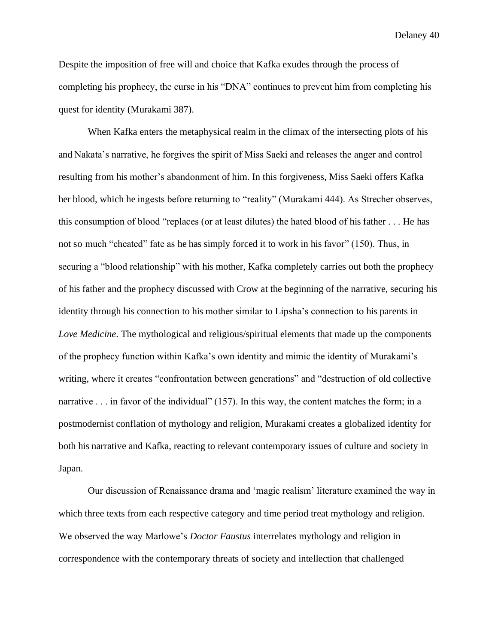Despite the imposition of free will and choice that Kafka exudes through the process of completing his prophecy, the curse in his "DNA" continues to prevent him from completing his quest for identity (Murakami 387).

When Kafka enters the metaphysical realm in the climax of the intersecting plots of his and Nakata's narrative, he forgives the spirit of Miss Saeki and releases the anger and control resulting from his mother's abandonment of him. In this forgiveness, Miss Saeki offers Kafka her blood, which he ingests before returning to "reality" (Murakami 444). As Strecher observes, this consumption of blood "replaces (or at least dilutes) the hated blood of his father . . . He has not so much "cheated" fate as he has simply forced it to work in his favor" (150). Thus, in securing a "blood relationship" with his mother, Kafka completely carries out both the prophecy of his father and the prophecy discussed with Crow at the beginning of the narrative, securing his identity through his connection to his mother similar to Lipsha's connection to his parents in *Love Medicine*. The mythological and religious/spiritual elements that made up the components of the prophecy function within Kafka's own identity and mimic the identity of Murakami's writing, where it creates "confrontation between generations" and "destruction of old collective narrative . . . in favor of the individual" (157). In this way, the content matches the form; in a postmodernist conflation of mythology and religion, Murakami creates a globalized identity for both his narrative and Kafka, reacting to relevant contemporary issues of culture and society in Japan.

Our discussion of Renaissance drama and 'magic realism' literature examined the way in which three texts from each respective category and time period treat mythology and religion. We observed the way Marlowe's *Doctor Faustus* interrelates mythology and religion in correspondence with the contemporary threats of society and intellection that challenged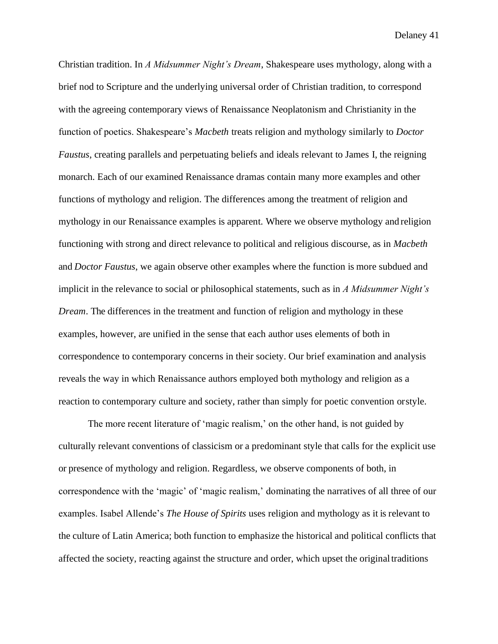Christian tradition. In *A Midsummer Night's Dream*, Shakespeare uses mythology, along with a brief nod to Scripture and the underlying universal order of Christian tradition, to correspond with the agreeing contemporary views of Renaissance Neoplatonism and Christianity in the function of poetics. Shakespeare's *Macbeth* treats religion and mythology similarly to *Doctor Faustus*, creating parallels and perpetuating beliefs and ideals relevant to James I, the reigning monarch. Each of our examined Renaissance dramas contain many more examples and other functions of mythology and religion. The differences among the treatment of religion and mythology in our Renaissance examples is apparent. Where we observe mythology and religion functioning with strong and direct relevance to political and religious discourse, as in *Macbeth*  and *Doctor Faustus*, we again observe other examples where the function is more subdued and implicit in the relevance to social or philosophical statements, such as in *A Midsummer Night's Dream*. The differences in the treatment and function of religion and mythology in these examples, however, are unified in the sense that each author uses elements of both in correspondence to contemporary concerns in their society. Our brief examination and analysis reveals the way in which Renaissance authors employed both mythology and religion as a reaction to contemporary culture and society, rather than simply for poetic convention orstyle.

The more recent literature of 'magic realism,' on the other hand, is not guided by culturally relevant conventions of classicism or a predominant style that calls for the explicit use or presence of mythology and religion. Regardless, we observe components of both, in correspondence with the 'magic' of 'magic realism,' dominating the narratives of all three of our examples. Isabel Allende's *The House of Spirits* uses religion and mythology as it is relevant to the culture of Latin America; both function to emphasize the historical and political conflicts that affected the society, reacting against the structure and order, which upset the originaltraditions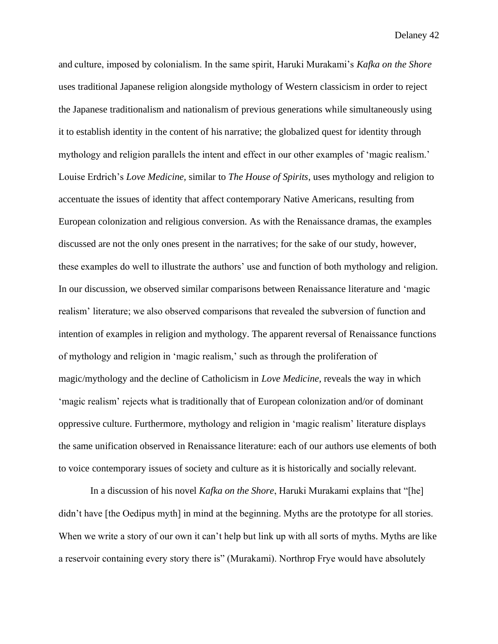and culture, imposed by colonialism. In the same spirit, Haruki Murakami's *Kafka on the Shore*  uses traditional Japanese religion alongside mythology of Western classicism in order to reject the Japanese traditionalism and nationalism of previous generations while simultaneously using it to establish identity in the content of his narrative; the globalized quest for identity through mythology and religion parallels the intent and effect in our other examples of 'magic realism.' Louise Erdrich's *Love Medicine,* similar to *The House of Spirits*, uses mythology and religion to accentuate the issues of identity that affect contemporary Native Americans, resulting from European colonization and religious conversion. As with the Renaissance dramas, the examples discussed are not the only ones present in the narratives; for the sake of our study, however, these examples do well to illustrate the authors' use and function of both mythology and religion. In our discussion, we observed similar comparisons between Renaissance literature and 'magic realism' literature; we also observed comparisons that revealed the subversion of function and intention of examples in religion and mythology. The apparent reversal of Renaissance functions of mythology and religion in 'magic realism,' such as through the proliferation of magic/mythology and the decline of Catholicism in *Love Medicine*, reveals the way in which 'magic realism' rejects what is traditionally that of European colonization and/or of dominant oppressive culture. Furthermore, mythology and religion in 'magic realism' literature displays the same unification observed in Renaissance literature: each of our authors use elements of both to voice contemporary issues of society and culture as it is historically and socially relevant.

In a discussion of his novel *Kafka on the Shore*, Haruki Murakami explains that "[he] didn't have [the Oedipus myth] in mind at the beginning. Myths are the prototype for all stories. When we write a story of our own it can't help but link up with all sorts of myths. Myths are like a reservoir containing every story there is" (Murakami). Northrop Frye would have absolutely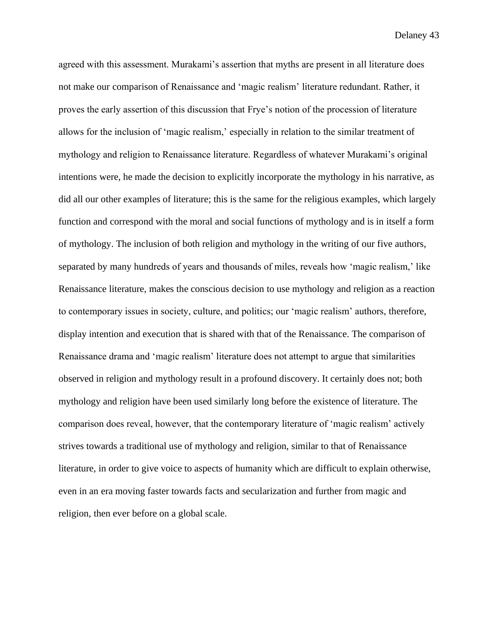agreed with this assessment. Murakami's assertion that myths are present in all literature does not make our comparison of Renaissance and 'magic realism' literature redundant. Rather, it proves the early assertion of this discussion that Frye's notion of the procession of literature allows for the inclusion of 'magic realism,' especially in relation to the similar treatment of mythology and religion to Renaissance literature. Regardless of whatever Murakami's original intentions were, he made the decision to explicitly incorporate the mythology in his narrative, as did all our other examples of literature; this is the same for the religious examples, which largely function and correspond with the moral and social functions of mythology and is in itself a form of mythology. The inclusion of both religion and mythology in the writing of our five authors, separated by many hundreds of years and thousands of miles, reveals how 'magic realism,' like Renaissance literature, makes the conscious decision to use mythology and religion as a reaction to contemporary issues in society, culture, and politics; our 'magic realism' authors, therefore, display intention and execution that is shared with that of the Renaissance. The comparison of Renaissance drama and 'magic realism' literature does not attempt to argue that similarities observed in religion and mythology result in a profound discovery. It certainly does not; both mythology and religion have been used similarly long before the existence of literature. The comparison does reveal, however, that the contemporary literature of 'magic realism' actively strives towards a traditional use of mythology and religion, similar to that of Renaissance literature, in order to give voice to aspects of humanity which are difficult to explain otherwise, even in an era moving faster towards facts and secularization and further from magic and religion, then ever before on a global scale.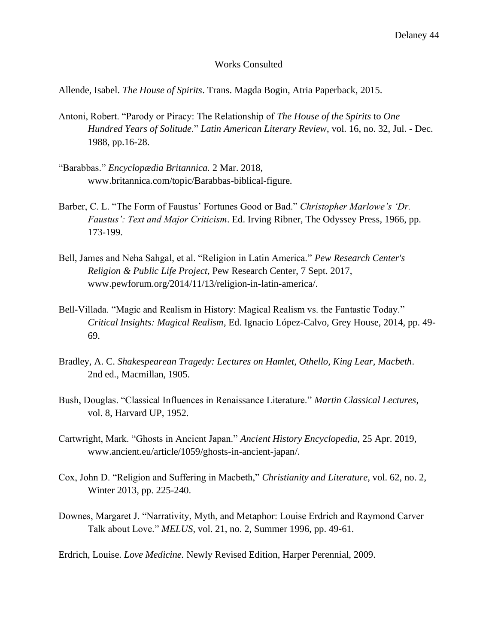## Works Consulted

Allende, Isabel. *The House of Spirits*. Trans. Magda Bogin, Atria Paperback, 2015.

- Antoni, Robert. "Parody or Piracy: The Relationship of *The House of the Spirits* to *One Hundred Years of Solitude*." *Latin American Literary Review*, vol. 16, no. 32, Jul. - Dec. 1988, pp.16-28.
- "Barabbas." *Encyclopædia Britannica.* 2 Mar. 2018, [www.britannica.com/topic/Barabbas-biblical-figure.](http://www.britannica.com/topic/Barabbas-biblical-figure)
- Barber, C. L. "The Form of Faustus' Fortunes Good or Bad." *Christopher Marlowe's 'Dr. Faustus': Text and Major Criticism*. Ed. Irving Ribner, The Odyssey Press, 1966, pp. 173-199.
- Bell, James and Neha Sahgal, et al. "Religion in Latin America." *Pew Research Center's Religion & Public Life Project*, Pew Research Center, 7 Sept. 2017, [www.pewforum.org/2014/11/13/religion-in-latin-america/.](http://www.pewforum.org/2014/11/13/religion-in-latin-america/)
- Bell-Villada. "Magic and Realism in History: Magical Realism vs. the Fantastic Today." *Critical Insights: Magical Realism*, Ed. Ignacio López-Calvo, Grey House, 2014, pp. 49- 69.
- Bradley, A. C. *Shakespearean Tragedy: Lectures on Hamlet, Othello, King Lear, Macbeth*. 2nd ed., Macmillan, 1905.
- Bush, Douglas. "Classical Influences in Renaissance Literature." *Martin Classical Lectures*, vol. 8, Harvard UP, 1952.
- Cartwright, Mark. "Ghosts in Ancient Japan." *Ancient History Encyclopedia*, 25 Apr. 2019, [www.ancient.eu/article/1059/ghosts-in-ancient-japan/.](http://www.ancient.eu/article/1059/ghosts-in-ancient-japan/)
- Cox, John D. "Religion and Suffering in Macbeth," *Christianity and Literature*, vol. 62, no. 2, Winter 2013, pp. 225-240.
- Downes, Margaret J. "Narrativity, Myth, and Metaphor: Louise Erdrich and Raymond Carver Talk about Love." *MELUS*, vol. 21, no. 2, Summer 1996, pp. 49-61.

Erdrich, Louise. *Love Medicine.* Newly Revised Edition, Harper Perennial, 2009.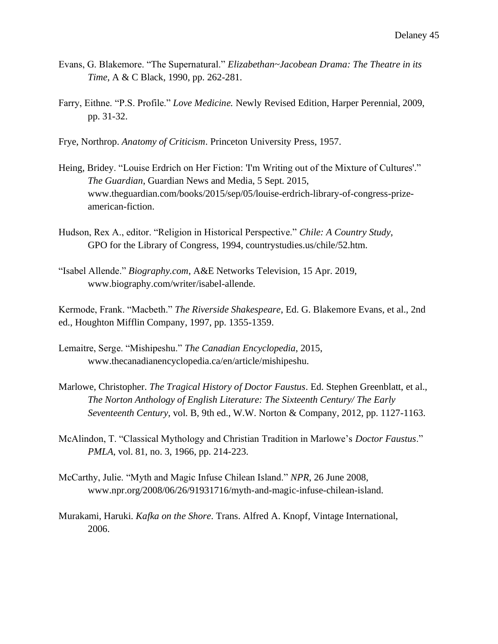- Evans, G. Blakemore. "The Supernatural." *Elizabethan~Jacobean Drama: The Theatre in its Time*, A & C Black, 1990, pp. 262-281.
- Farry, Eithne. "P.S. Profile." *Love Medicine.* Newly Revised Edition, Harper Perennial, 2009, pp. 31-32.
- Frye, Northrop. *Anatomy of Criticism*. Princeton University Press, 1957.
- Heing, Bridey. "Louise Erdrich on Her Fiction: 'I'm Writing out of the Mixture of Cultures'." *The Guardian*, Guardian News and Media, 5 Sept. 2015, [www.theguardian.com/books/2015/sep/05/louise-erdrich-library-of-congress-prize](http://www.theguardian.com/books/2015/sep/05/louise-erdrich-library-of-congress-prize-)american-fiction.
- Hudson, Rex A., editor. "Religion in Historical Perspective." *Chile: A Country Study*, GPO for the Library of Congress, 1994, countrystudies.us/chile/52.htm.
- "Isabel Allende." *Biography.com*, A&E Networks Television, 15 Apr. 2019, [www.biography.com/writer/isabel-allende.](http://www.biography.com/writer/isabel-allende)

Kermode, Frank. "Macbeth." *The Riverside Shakespeare*, Ed. G. Blakemore Evans, et al., 2nd ed., Houghton Mifflin Company, 1997, pp. 1355-1359.

- Lemaitre, Serge. "Mishipeshu." *The Canadian Encyclopedia*, 2015, [www.thecanadianencyclopedia.ca/en/article/mishipeshu.](http://www.thecanadianencyclopedia.ca/en/article/mishipeshu)
- Marlowe, Christopher. *The Tragical History of Doctor Faustus*. Ed. Stephen Greenblatt, et al., *The Norton Anthology of English Literature: The Sixteenth Century/ The Early Seventeenth Century*, vol. B, 9th ed., W.W. Norton & Company, 2012, pp. 1127-1163.
- McAlindon, T. "Classical Mythology and Christian Tradition in Marlowe's *Doctor Faustus*." *PMLA*, vol. 81, no. 3, 1966, pp. 214-223.
- McCarthy, Julie. "Myth and Magic Infuse Chilean Island." *NPR*, 26 June 2008, [www.npr.org/2008/06/26/91931716/myth-and-magic-infuse-chilean-island.](http://www.npr.org/2008/06/26/91931716/myth-and-magic-infuse-chilean-island)
- Murakami, Haruki. *Kafka on the Shore*. Trans. Alfred A. Knopf, Vintage International, 2006.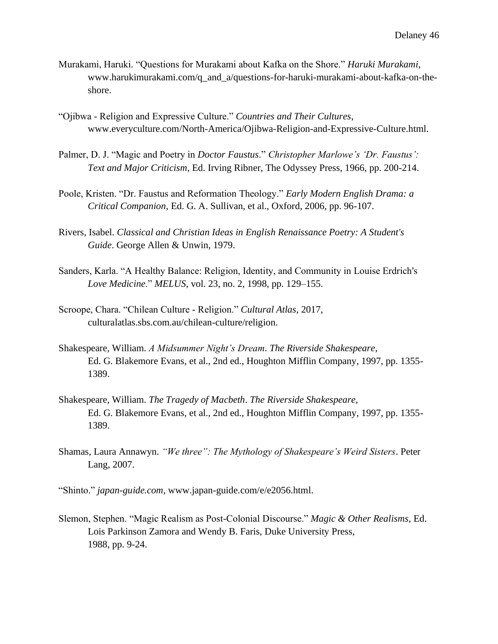- Murakami, Haruki. "Questions for Murakami about Kafka on the Shore." *Haruki Murakami*, [www.harukimurakami.com/q\\_and\\_a/questions-for-haruki-murakami-about-kafka-on-the](http://www.harukimurakami.com/q_and_a/questions-for-haruki-murakami-about-kafka-on-the-)shore.
- "Ojibwa Religion and Expressive Culture." *Countries and Their Cultures*, [www.everyculture.com/North-America/Ojibwa-Religion-and-Expressive-Culture.html.](http://www.everyculture.com/North-America/Ojibwa-Religion-and-Expressive-Culture.html)
- Palmer, D. J. "Magic and Poetry in *Doctor Faustus*." *Christopher Marlowe's 'Dr. Faustus': Text and Major Criticism*, Ed. Irving Ribner, The Odyssey Press, 1966, pp. 200-214.
- Poole, Kristen. "Dr. Faustus and Reformation Theology." *Early Modern English Drama: a Critical Companion*, Ed. G. A. Sullivan, et al., Oxford, 2006, pp. 96-107.
- Rivers, Isabel. *Classical and Christian Ideas in English Renaissance Poetry: A Student's Guide*. George Allen & Unwin, 1979.
- Sanders, Karla. "A Healthy Balance: Religion, Identity, and Community in Louise Erdrich's *Love Medicine*." *MELUS*, vol. 23, no. 2, 1998, pp. 129–155.
- Scroope, Chara. "Chilean Culture Religion." *Cultural Atlas*, 2017, culturalatlas.sbs.com.au/chilean-culture/religion.
- Shakespeare, William. *A Midsummer Night's Dream*. *The Riverside Shakespeare*, Ed. G. Blakemore Evans, et al., 2nd ed., Houghton Mifflin Company, 1997, pp. 1355- 1389.
- Shakespeare, William. *The Tragedy of Macbeth*. *The Riverside Shakespeare*, Ed. G. Blakemore Evans, et al., 2nd ed., Houghton Mifflin Company, 1997, pp. 1355- 1389.
- Shamas, Laura Annawyn. *"We three": The Mythology of Shakespeare's Weird Sisters*. Peter Lang, 2007.
- "Shinto." *japan-guide.com*, [www.japan-guide.com/e/e2056.html.](http://www.japan-guide.com/e/e2056.html)
- Slemon, Stephen. "Magic Realism as Post-Colonial Discourse." *Magic & Other Realisms,* Ed. Lois Parkinson Zamora and Wendy B. Faris, Duke University Press, 1988, pp. 9-24.